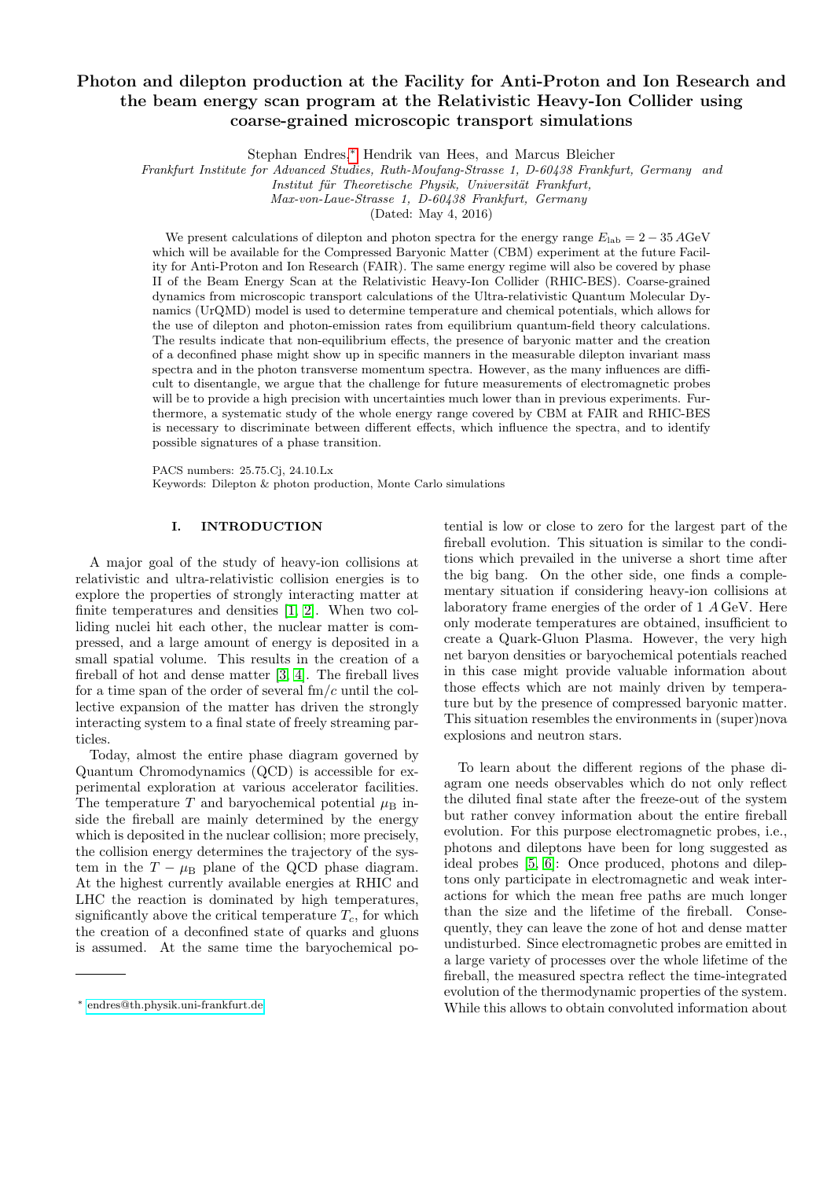# Photon and dilepton production at the Facility for Anti-Proton and Ion Research and the beam energy scan program at the Relativistic Heavy-Ion Collider using coarse-grained microscopic transport simulations

Stephan Endres,[∗](#page-0-0) Hendrik van Hees, and Marcus Bleicher

Frankfurt Institute for Advanced Studies, Ruth-Moufang-Strasse 1, D-60438 Frankfurt, Germany and

Institut für Theoretische Physik, Universität Frankfurt,

Max-von-Laue-Strasse 1, D-60438 Frankfurt, Germany

(Dated: May 4, 2016)

We present calculations of dilepton and photon spectra for the energy range  $E_{\text{lab}} = 2 - 35 \,\text{AGeV}$ which will be available for the Compressed Baryonic Matter (CBM) experiment at the future Facility for Anti-Proton and Ion Research (FAIR). The same energy regime will also be covered by phase II of the Beam Energy Scan at the Relativistic Heavy-Ion Collider (RHIC-BES). Coarse-grained dynamics from microscopic transport calculations of the Ultra-relativistic Quantum Molecular Dynamics (UrQMD) model is used to determine temperature and chemical potentials, which allows for the use of dilepton and photon-emission rates from equilibrium quantum-field theory calculations. The results indicate that non-equilibrium effects, the presence of baryonic matter and the creation of a deconfined phase might show up in specific manners in the measurable dilepton invariant mass spectra and in the photon transverse momentum spectra. However, as the many influences are difficult to disentangle, we argue that the challenge for future measurements of electromagnetic probes will be to provide a high precision with uncertainties much lower than in previous experiments. Furthermore, a systematic study of the whole energy range covered by CBM at FAIR and RHIC-BES is necessary to discriminate between different effects, which influence the spectra, and to identify possible signatures of a phase transition.

PACS numbers: 25.75.Cj, 24.10.Lx Keywords: Dilepton & photon production, Monte Carlo simulations

# I. INTRODUCTION

A major goal of the study of heavy-ion collisions at relativistic and ultra-relativistic collision energies is to explore the properties of strongly interacting matter at finite temperatures and densities [\[1,](#page-20-0) [2\]](#page-20-1). When two colliding nuclei hit each other, the nuclear matter is compressed, and a large amount of energy is deposited in a small spatial volume. This results in the creation of a fireball of hot and dense matter [\[3,](#page-20-2) [4\]](#page-20-3). The fireball lives for a time span of the order of several  $\text{fm}/c$  until the collective expansion of the matter has driven the strongly interacting system to a final state of freely streaming particles.

Today, almost the entire phase diagram governed by Quantum Chromodynamics (QCD) is accessible for experimental exploration at various accelerator facilities. The temperature T and baryochemical potential  $\mu_{\text{B}}$  inside the fireball are mainly determined by the energy which is deposited in the nuclear collision; more precisely, the collision energy determines the trajectory of the system in the  $T - \mu_B$  plane of the QCD phase diagram. At the highest currently available energies at RHIC and LHC the reaction is dominated by high temperatures, significantly above the critical temperature  $T_c$ , for which the creation of a deconfined state of quarks and gluons is assumed. At the same time the baryochemical potential is low or close to zero for the largest part of the fireball evolution. This situation is similar to the conditions which prevailed in the universe a short time after the big bang. On the other side, one finds a complementary situation if considering heavy-ion collisions at laboratory frame energies of the order of 1 A GeV. Here only moderate temperatures are obtained, insufficient to create a Quark-Gluon Plasma. However, the very high net baryon densities or baryochemical potentials reached in this case might provide valuable information about those effects which are not mainly driven by temperature but by the presence of compressed baryonic matter. This situation resembles the environments in (super)nova explosions and neutron stars.

To learn about the different regions of the phase diagram one needs observables which do not only reflect the diluted final state after the freeze-out of the system but rather convey information about the entire fireball evolution. For this purpose electromagnetic probes, i.e., photons and dileptons have been for long suggested as ideal probes [\[5,](#page-20-4) [6\]](#page-20-5): Once produced, photons and dileptons only participate in electromagnetic and weak interactions for which the mean free paths are much longer than the size and the lifetime of the fireball. Consequently, they can leave the zone of hot and dense matter undisturbed. Since electromagnetic probes are emitted in a large variety of processes over the whole lifetime of the fireball, the measured spectra reflect the time-integrated evolution of the thermodynamic properties of the system. While this allows to obtain convoluted information about

<span id="page-0-0"></span><sup>∗</sup> [endres@th.physik.uni-frankfurt.de](mailto:endres@th.physik.uni-frankfurt.de)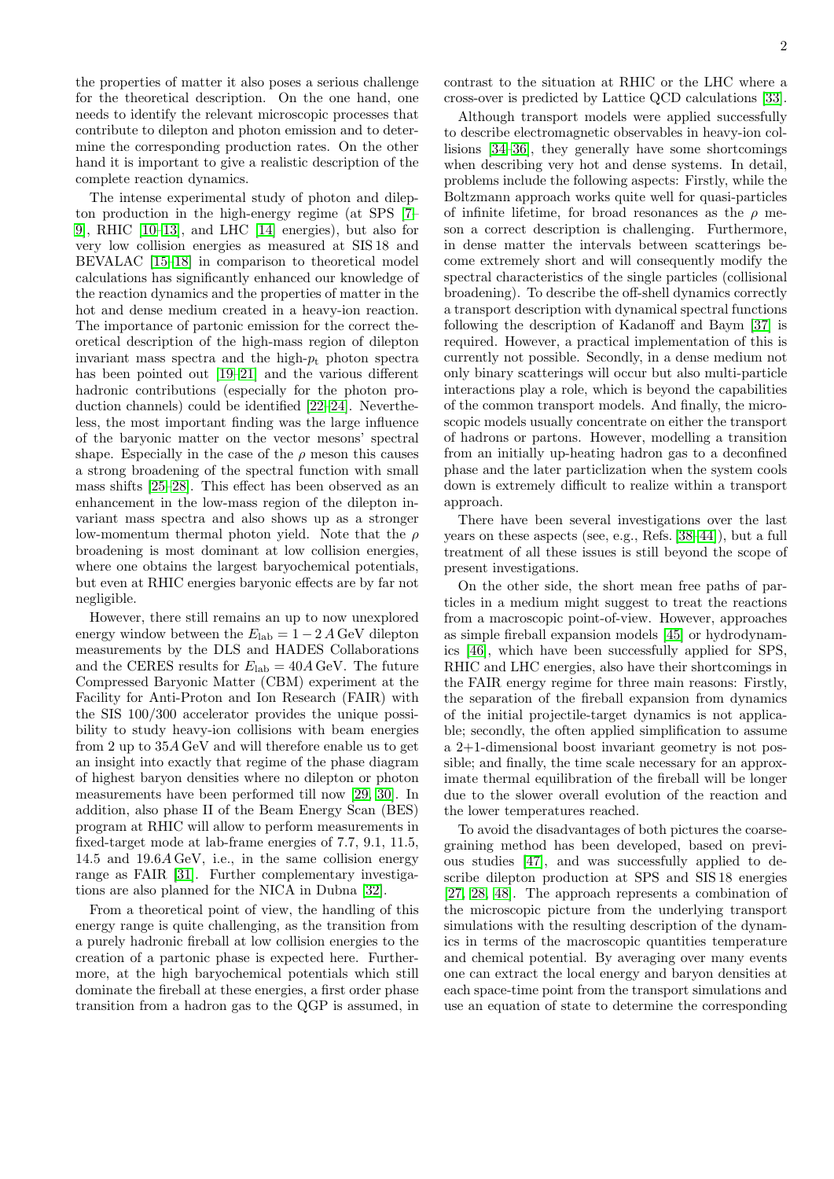the properties of matter it also poses a serious challenge for the theoretical description. On the one hand, one needs to identify the relevant microscopic processes that contribute to dilepton and photon emission and to determine the corresponding production rates. On the other hand it is important to give a realistic description of the complete reaction dynamics.

The intense experimental study of photon and dilepton production in the high-energy regime (at SPS [\[7–](#page-20-6) [9\]](#page-20-7), RHIC [\[10–](#page-20-8)[13\]](#page-20-9), and LHC [\[14\]](#page-20-10) energies), but also for very low collision energies as measured at SIS 18 and BEVALAC [\[15–](#page-20-11)[18\]](#page-20-12) in comparison to theoretical model calculations has significantly enhanced our knowledge of the reaction dynamics and the properties of matter in the hot and dense medium created in a heavy-ion reaction. The importance of partonic emission for the correct theoretical description of the high-mass region of dilepton invariant mass spectra and the high- $p_t$  photon spectra has been pointed out [\[19–](#page-21-0)[21\]](#page-21-1) and the various different hadronic contributions (especially for the photon production channels) could be identified [\[22](#page-21-2)[–24\]](#page-21-3). Nevertheless, the most important finding was the large influence of the baryonic matter on the vector mesons' spectral shape. Especially in the case of the  $\rho$  meson this causes a strong broadening of the spectral function with small mass shifts [\[25–](#page-21-4)[28\]](#page-21-5). This effect has been observed as an enhancement in the low-mass region of the dilepton invariant mass spectra and also shows up as a stronger low-momentum thermal photon yield. Note that the  $\rho$ broadening is most dominant at low collision energies, where one obtains the largest baryochemical potentials, but even at RHIC energies baryonic effects are by far not negligible.

However, there still remains an up to now unexplored energy window between the  $E_{\text{lab}} = 1 - 2 A \text{GeV}$  dilepton measurements by the DLS and HADES Collaborations and the CERES results for  $E_{\rm lab} = 40A \,\text{GeV}$ . The future Compressed Baryonic Matter (CBM) experiment at the Facility for Anti-Proton and Ion Research (FAIR) with the SIS 100/300 accelerator provides the unique possibility to study heavy-ion collisions with beam energies from 2 up to 35A GeV and will therefore enable us to get an insight into exactly that regime of the phase diagram of highest baryon densities where no dilepton or photon measurements have been performed till now [\[29,](#page-21-6) [30\]](#page-21-7). In addition, also phase II of the Beam Energy Scan (BES) program at RHIC will allow to perform measurements in fixed-target mode at lab-frame energies of 7.7, 9.1, 11.5, 14.5 and 19.6A GeV, i.e., in the same collision energy range as FAIR [\[31\]](#page-21-8). Further complementary investigations are also planned for the NICA in Dubna [\[32\]](#page-21-9).

From a theoretical point of view, the handling of this energy range is quite challenging, as the transition from a purely hadronic fireball at low collision energies to the creation of a partonic phase is expected here. Furthermore, at the high baryochemical potentials which still dominate the fireball at these energies, a first order phase transition from a hadron gas to the QGP is assumed, in

contrast to the situation at RHIC or the LHC where a cross-over is predicted by Lattice QCD calculations [\[33\]](#page-21-10).

Although transport models were applied successfully to describe electromagnetic observables in heavy-ion collisions [\[34](#page-21-11)[–36\]](#page-21-12), they generally have some shortcomings when describing very hot and dense systems. In detail, problems include the following aspects: Firstly, while the Boltzmann approach works quite well for quasi-particles of infinite lifetime, for broad resonances as the  $\rho$  meson a correct description is challenging. Furthermore, in dense matter the intervals between scatterings become extremely short and will consequently modify the spectral characteristics of the single particles (collisional broadening). To describe the off-shell dynamics correctly a transport description with dynamical spectral functions following the description of Kadanoff and Baym [\[37\]](#page-21-13) is required. However, a practical implementation of this is currently not possible. Secondly, in a dense medium not only binary scatterings will occur but also multi-particle interactions play a role, which is beyond the capabilities of the common transport models. And finally, the microscopic models usually concentrate on either the transport of hadrons or partons. However, modelling a transition from an initially up-heating hadron gas to a deconfined phase and the later particlization when the system cools down is extremely difficult to realize within a transport approach.

There have been several investigations over the last years on these aspects (see, e.g., Refs. [\[38–](#page-21-14)[44\]](#page-21-15)), but a full treatment of all these issues is still beyond the scope of present investigations.

On the other side, the short mean free paths of particles in a medium might suggest to treat the reactions from a macroscopic point-of-view. However, approaches as simple fireball expansion models [\[45\]](#page-21-16) or hydrodynamics [\[46\]](#page-21-17), which have been successfully applied for SPS, RHIC and LHC energies, also have their shortcomings in the FAIR energy regime for three main reasons: Firstly, the separation of the fireball expansion from dynamics of the initial projectile-target dynamics is not applicable; secondly, the often applied simplification to assume a 2+1-dimensional boost invariant geometry is not possible; and finally, the time scale necessary for an approximate thermal equilibration of the fireball will be longer due to the slower overall evolution of the reaction and the lower temperatures reached.

To avoid the disadvantages of both pictures the coarsegraining method has been developed, based on previous studies [\[47\]](#page-21-18), and was successfully applied to describe dilepton production at SPS and SIS 18 energies [\[27,](#page-21-19) [28,](#page-21-5) [48\]](#page-21-20). The approach represents a combination of the microscopic picture from the underlying transport simulations with the resulting description of the dynamics in terms of the macroscopic quantities temperature and chemical potential. By averaging over many events one can extract the local energy and baryon densities at each space-time point from the transport simulations and use an equation of state to determine the corresponding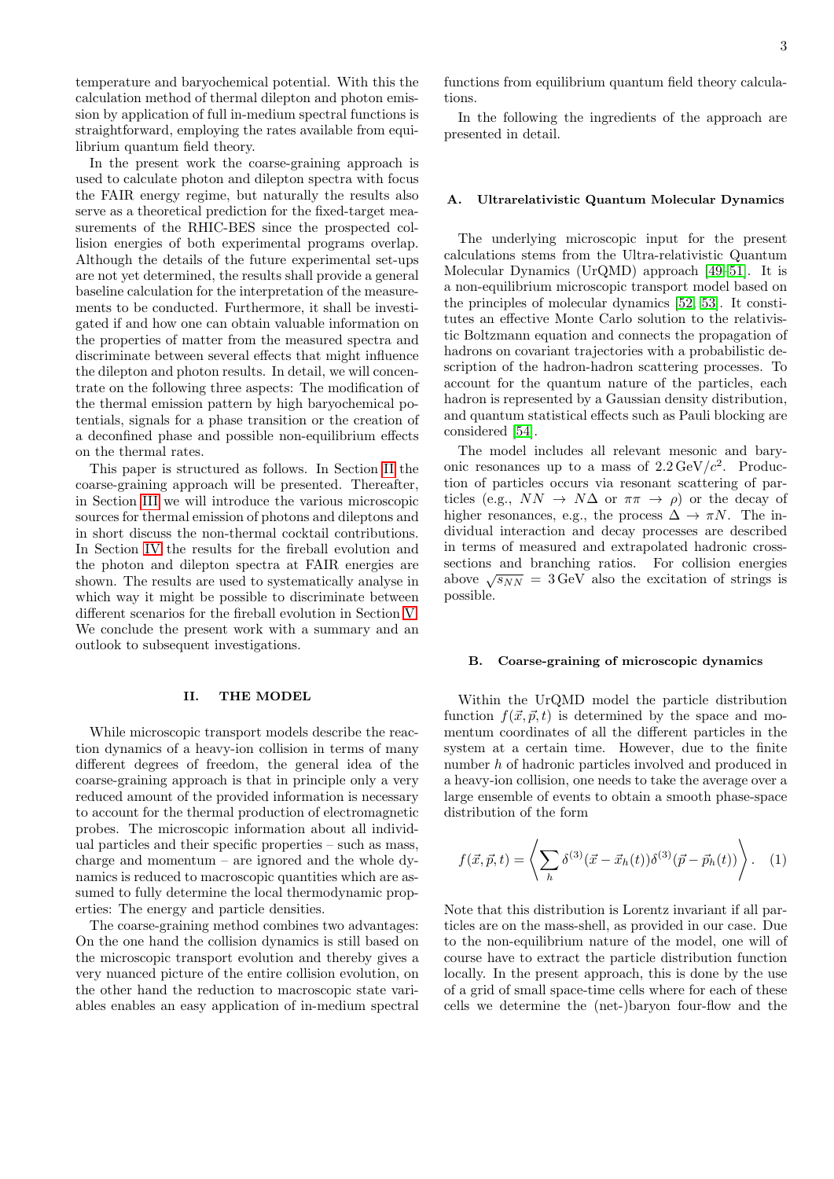temperature and baryochemical potential. With this the calculation method of thermal dilepton and photon emission by application of full in-medium spectral functions is straightforward, employing the rates available from equilibrium quantum field theory.

In the present work the coarse-graining approach is used to calculate photon and dilepton spectra with focus the FAIR energy regime, but naturally the results also serve as a theoretical prediction for the fixed-target measurements of the RHIC-BES since the prospected collision energies of both experimental programs overlap. Although the details of the future experimental set-ups are not yet determined, the results shall provide a general baseline calculation for the interpretation of the measurements to be conducted. Furthermore, it shall be investigated if and how one can obtain valuable information on the properties of matter from the measured spectra and discriminate between several effects that might influence the dilepton and photon results. In detail, we will concentrate on the following three aspects: The modification of the thermal emission pattern by high baryochemical potentials, signals for a phase transition or the creation of a deconfined phase and possible non-equilibrium effects on the thermal rates.

This paper is structured as follows. In Section [II](#page-2-0) the coarse-graining approach will be presented. Thereafter, in Section [III](#page-4-0) we will introduce the various microscopic sources for thermal emission of photons and dileptons and in short discuss the non-thermal cocktail contributions. In Section [IV](#page-7-0) the results for the fireball evolution and the photon and dilepton spectra at FAIR energies are shown. The results are used to systematically analyse in which way it might be possible to discriminate between different scenarios for the fireball evolution in Section [V.](#page-19-0) We conclude the present work with a summary and an outlook to subsequent investigations.

# <span id="page-2-0"></span>II. THE MODEL

While microscopic transport models describe the reaction dynamics of a heavy-ion collision in terms of many different degrees of freedom, the general idea of the coarse-graining approach is that in principle only a very reduced amount of the provided information is necessary to account for the thermal production of electromagnetic probes. The microscopic information about all individual particles and their specific properties – such as mass, charge and momentum – are ignored and the whole dynamics is reduced to macroscopic quantities which are assumed to fully determine the local thermodynamic properties: The energy and particle densities.

The coarse-graining method combines two advantages: On the one hand the collision dynamics is still based on the microscopic transport evolution and thereby gives a very nuanced picture of the entire collision evolution, on the other hand the reduction to macroscopic state variables enables an easy application of in-medium spectral functions from equilibrium quantum field theory calculations.

In the following the ingredients of the approach are presented in detail.

# Ultrarelativistic Quantum Molecular Dynamics

The underlying microscopic input for the present calculations stems from the Ultra-relativistic Quantum Molecular Dynamics (UrQMD) approach [\[49–](#page-21-21)[51\]](#page-21-22). It is a non-equilibrium microscopic transport model based on the principles of molecular dynamics [\[52,](#page-21-23) [53\]](#page-21-24). It constitutes an effective Monte Carlo solution to the relativistic Boltzmann equation and connects the propagation of hadrons on covariant trajectories with a probabilistic description of the hadron-hadron scattering processes. To account for the quantum nature of the particles, each hadron is represented by a Gaussian density distribution, and quantum statistical effects such as Pauli blocking are considered [\[54\]](#page-21-25).

The model includes all relevant mesonic and baryonic resonances up to a mass of  $2.2 \text{ GeV}/c^2$ . Production of particles occurs via resonant scattering of particles (e.g.,  $NN \rightarrow N\Delta$  or  $\pi \pi \rightarrow \rho$ ) or the decay of higher resonances, e.g., the process  $\Delta \to \pi N$ . The individual interaction and decay processes are described in terms of measured and extrapolated hadronic crosssections and branching ratios. For collision energies sections and branching ratios. For consider energies<br>above  $\sqrt{s_{NN}} = 3 \,\text{GeV}$  also the excitation of strings is possible.

### B. Coarse-graining of microscopic dynamics

Within the UrQMD model the particle distribution function  $f(\vec{x}, \vec{p}, t)$  is determined by the space and momentum coordinates of all the different particles in the system at a certain time. However, due to the finite number h of hadronic particles involved and produced in a heavy-ion collision, one needs to take the average over a large ensemble of events to obtain a smooth phase-space distribution of the form

$$
f(\vec{x}, \vec{p}, t) = \left\langle \sum_{h} \delta^{(3)}(\vec{x} - \vec{x}_h(t)) \delta^{(3)}(\vec{p} - \vec{p}_h(t)) \right\rangle. \quad (1)
$$

Note that this distribution is Lorentz invariant if all particles are on the mass-shell, as provided in our case. Due to the non-equilibrium nature of the model, one will of course have to extract the particle distribution function locally. In the present approach, this is done by the use of a grid of small space-time cells where for each of these cells we determine the (net-)baryon four-flow and the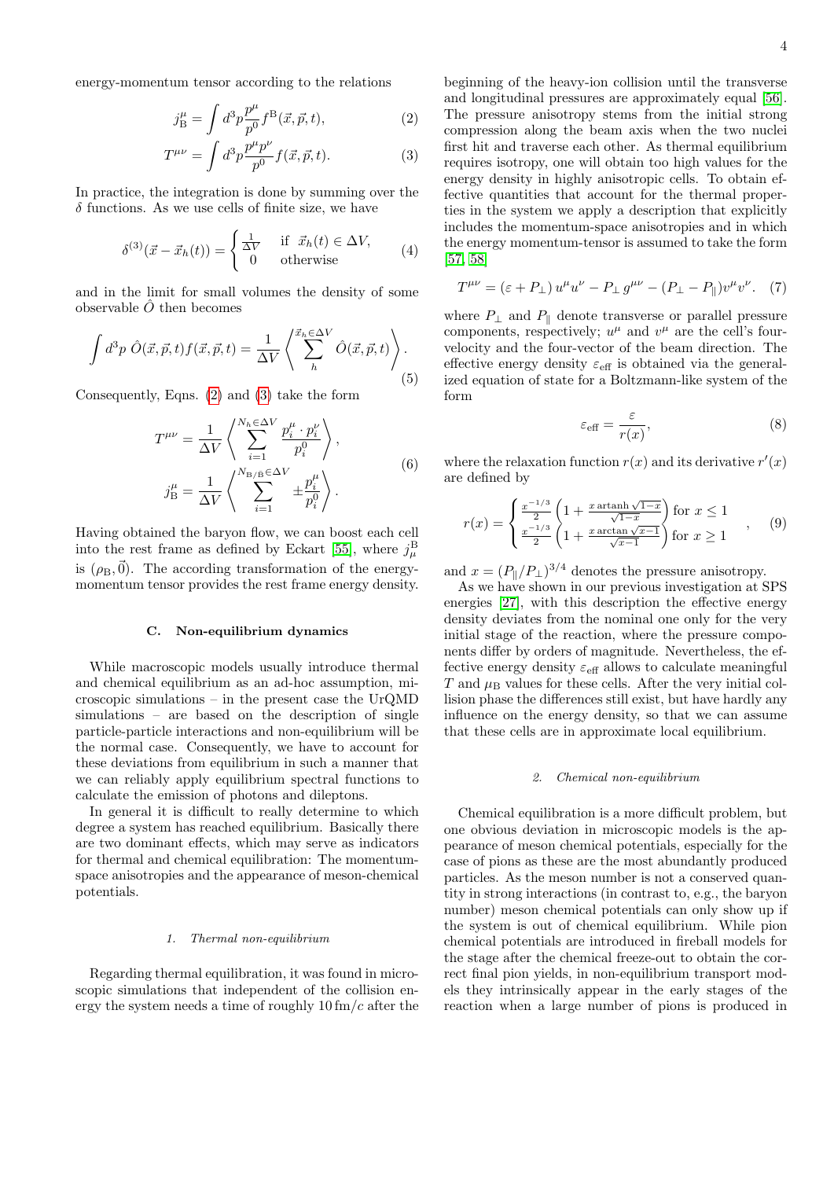energy-momentum tensor according to the relations

$$
j_{\rm B}^{\mu} = \int d^3p \frac{p^{\mu}}{p^0} f^{\rm B}(\vec{x}, \vec{p}, t), \qquad (2)
$$

$$
T^{\mu\nu} = \int d^3p \frac{p^{\mu}p^{\nu}}{p^0} f(\vec{x}, \vec{p}, t).
$$
 (3)

In practice, the integration is done by summing over the  $\delta$  functions. As we use cells of finite size, we have

$$
\delta^{(3)}(\vec{x} - \vec{x}_h(t)) = \begin{cases} \frac{1}{\Delta V} & \text{if } \vec{x}_h(t) \in \Delta V, \\ 0 & \text{otherwise} \end{cases}
$$
 (4)

and in the limit for small volumes the density of some observable  $\ddot{O}$  then becomes

$$
\int d^3p \; \hat{O}(\vec{x}, \vec{p}, t) f(\vec{x}, \vec{p}, t) = \frac{1}{\Delta V} \left\langle \sum_{h}^{\vec{x}_h \in \Delta V} \hat{O}(\vec{x}, \vec{p}, t) \right\rangle.
$$
\n(5)

Consequently, Eqns. [\(2\)](#page-3-0) and [\(3\)](#page-3-1) take the form

$$
T^{\mu\nu} = \frac{1}{\Delta V} \left\langle \sum_{i=1}^{N_h \in \Delta V} \frac{p_i^{\mu} \cdot p_i^{\nu}}{p_i^0} \right\rangle,
$$
  

$$
j_B^{\mu} = \frac{1}{\Delta V} \left\langle \sum_{i=1}^{N_B \in \Delta V} \pm \frac{p_i^{\mu}}{p_i^0} \right\rangle.
$$
 (6)

Having obtained the baryon flow, we can boost each cell into the rest frame as defined by Eckart [\[55\]](#page-21-26), where  $j^{\text{B}}_{\mu}$ is  $(\rho_{\rm B}, \vec{0})$ . The according transformation of the energymomentum tensor provides the rest frame energy density.

### C. Non-equilibrium dynamics

While macroscopic models usually introduce thermal and chemical equilibrium as an ad-hoc assumption, microscopic simulations – in the present case the UrQMD simulations – are based on the description of single particle-particle interactions and non-equilibrium will be the normal case. Consequently, we have to account for these deviations from equilibrium in such a manner that we can reliably apply equilibrium spectral functions to calculate the emission of photons and dileptons.

In general it is difficult to really determine to which degree a system has reached equilibrium. Basically there are two dominant effects, which may serve as indicators for thermal and chemical equilibration: The momentumspace anisotropies and the appearance of meson-chemical potentials.

#### 1. Thermal non-equilibrium

Regarding thermal equilibration, it was found in microscopic simulations that independent of the collision energy the system needs a time of roughly  $10 \text{ fm}/c$  after the

<span id="page-3-1"></span><span id="page-3-0"></span>beginning of the heavy-ion collision until the transverse and longitudinal pressures are approximately equal [\[56\]](#page-21-27). The pressure anisotropy stems from the initial strong compression along the beam axis when the two nuclei first hit and traverse each other. As thermal equilibrium requires isotropy, one will obtain too high values for the energy density in highly anisotropic cells. To obtain effective quantities that account for the thermal properties in the system we apply a description that explicitly includes the momentum-space anisotropies and in which the energy momentum-tensor is assumed to take the form [\[57,](#page-21-28) [58\]](#page-21-29)

$$
T^{\mu\nu} = (\varepsilon + P_{\perp}) u^{\mu} u^{\nu} - P_{\perp} g^{\mu\nu} - (P_{\perp} - P_{\parallel}) v^{\mu} v^{\nu}. \quad (7)
$$

where  $P_{\perp}$  and  $P_{\parallel}$  denote transverse or parallel pressure components, respectively;  $u^{\mu}$  and  $v^{\mu}$  are the cell's fourvelocity and the four-vector of the beam direction. The effective energy density  $\varepsilon_{\text{eff}}$  is obtained via the generalized equation of state for a Boltzmann-like system of the form

$$
\varepsilon_{\text{eff}} = \frac{\varepsilon}{r(x)},\tag{8}
$$

where the relaxation function  $r(x)$  and its derivative  $r'(x)$ are defined by

$$
r(x) = \begin{cases} \frac{x^{-1/3}}{2} \left( 1 + \frac{x \arctan\sqrt{1-x}}{\sqrt{1-x}} \right) \text{ for } x \le 1\\ \frac{x^{-1/3}}{2} \left( 1 + \frac{x \arctan\sqrt{x-1}}{\sqrt{x-1}} \right) \text{ for } x \ge 1 \end{cases}, \quad (9)
$$

and  $x = (P_{\parallel}/P_{\perp})^{3/4}$  denotes the pressure anisotropy.

As we have shown in our previous investigation at SPS energies [\[27\]](#page-21-19), with this description the effective energy density deviates from the nominal one only for the very initial stage of the reaction, where the pressure components differ by orders of magnitude. Nevertheless, the effective energy density  $\varepsilon_{\text{eff}}$  allows to calculate meaningful T and  $\mu_B$  values for these cells. After the very initial collision phase the differences still exist, but have hardly any influence on the energy density, so that we can assume that these cells are in approximate local equilibrium.

### 2. Chemical non-equilibrium

Chemical equilibration is a more difficult problem, but one obvious deviation in microscopic models is the appearance of meson chemical potentials, especially for the case of pions as these are the most abundantly produced particles. As the meson number is not a conserved quantity in strong interactions (in contrast to, e.g., the baryon number) meson chemical potentials can only show up if the system is out of chemical equilibrium. While pion chemical potentials are introduced in fireball models for the stage after the chemical freeze-out to obtain the correct final pion yields, in non-equilibrium transport models they intrinsically appear in the early stages of the reaction when a large number of pions is produced in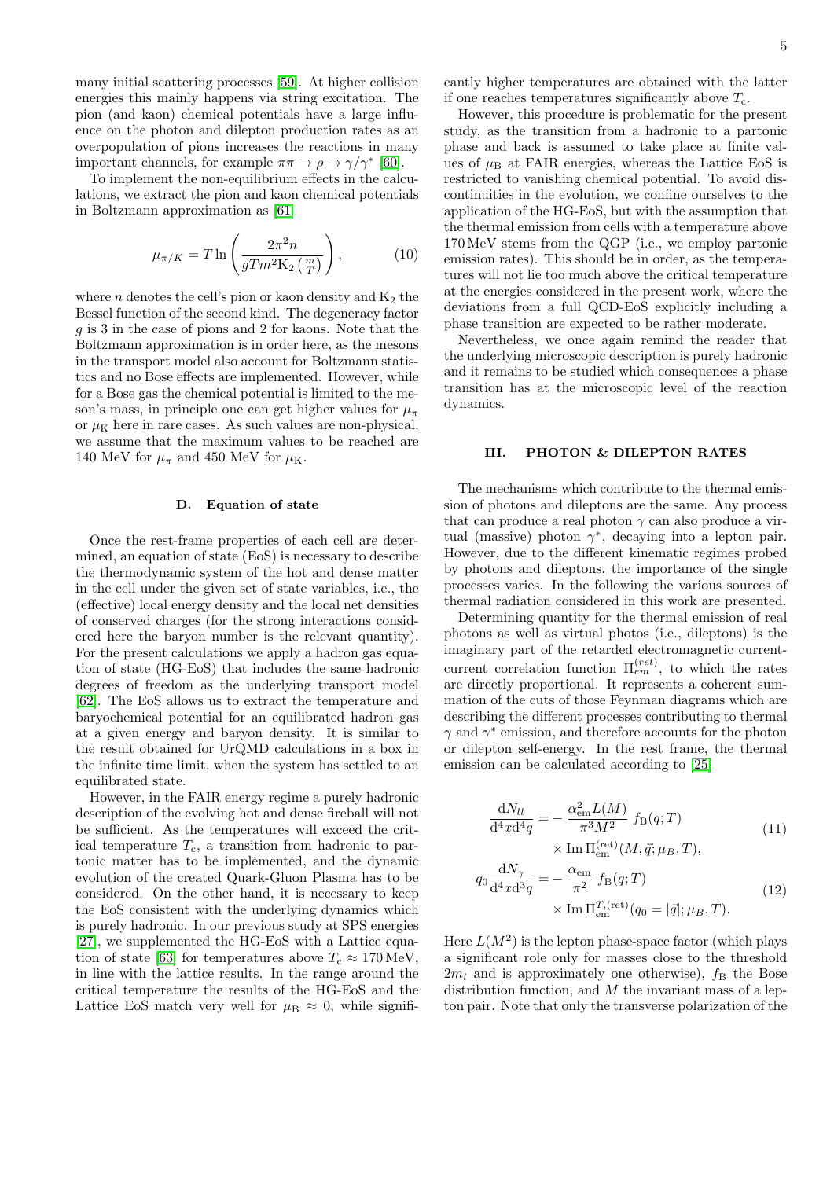many initial scattering processes [\[59\]](#page-21-30). At higher collision energies this mainly happens via string excitation. The pion (and kaon) chemical potentials have a large influence on the photon and dilepton production rates as an overpopulation of pions increases the reactions in many important channels, for example  $\pi \pi \to \rho \to \gamma/\gamma^*$  [\[60\]](#page-21-31).

To implement the non-equilibrium effects in the calculations, we extract the pion and kaon chemical potentials in Boltzmann approximation as [\[61\]](#page-21-32)

$$
\mu_{\pi/K} = T \ln \left( \frac{2\pi^2 n}{gT m^2 \mathcal{K}_2 \left( \frac{m}{T} \right)} \right),\tag{10}
$$

where  $n$  denotes the cell's pion or kaon density and  $K_2$  the Bessel function of the second kind. The degeneracy factor g is 3 in the case of pions and 2 for kaons. Note that the Boltzmann approximation is in order here, as the mesons in the transport model also account for Boltzmann statistics and no Bose effects are implemented. However, while for a Bose gas the chemical potential is limited to the meson's mass, in principle one can get higher values for  $\mu_{\pi}$ or  $\mu$ <sub>K</sub> here in rare cases. As such values are non-physical, we assume that the maximum values to be reached are 140 MeV for  $\mu_{\pi}$  and 450 MeV for  $\mu_{\text{K}}$ .

### D. Equation of state

Once the rest-frame properties of each cell are determined, an equation of state (EoS) is necessary to describe the thermodynamic system of the hot and dense matter in the cell under the given set of state variables, i.e., the (effective) local energy density and the local net densities of conserved charges (for the strong interactions considered here the baryon number is the relevant quantity). For the present calculations we apply a hadron gas equation of state (HG-EoS) that includes the same hadronic degrees of freedom as the underlying transport model [\[62\]](#page-21-33). The EoS allows us to extract the temperature and baryochemical potential for an equilibrated hadron gas at a given energy and baryon density. It is similar to the result obtained for UrQMD calculations in a box in the infinite time limit, when the system has settled to an equilibrated state.

However, in the FAIR energy regime a purely hadronic description of the evolving hot and dense fireball will not be sufficient. As the temperatures will exceed the critical temperature  $T_c$ , a transition from hadronic to partonic matter has to be implemented, and the dynamic evolution of the created Quark-Gluon Plasma has to be considered. On the other hand, it is necessary to keep the EoS consistent with the underlying dynamics which is purely hadronic. In our previous study at SPS energies [\[27\]](#page-21-19), we supplemented the HG-EoS with a Lattice equa-tion of state [\[63\]](#page-21-34) for temperatures above  $T_c \approx 170 \,\text{MeV}$ , in line with the lattice results. In the range around the critical temperature the results of the HG-EoS and the Lattice EoS match very well for  $\mu_B \approx 0$ , while significantly higher temperatures are obtained with the latter if one reaches temperatures significantly above  $T_c$ .

However, this procedure is problematic for the present study, as the transition from a hadronic to a partonic phase and back is assumed to take place at finite values of  $\mu_B$  at FAIR energies, whereas the Lattice EoS is restricted to vanishing chemical potential. To avoid discontinuities in the evolution, we confine ourselves to the application of the HG-EoS, but with the assumption that the thermal emission from cells with a temperature above 170 MeV stems from the QGP (i.e., we employ partonic emission rates). This should be in order, as the temperatures will not lie too much above the critical temperature at the energies considered in the present work, where the deviations from a full QCD-EoS explicitly including a phase transition are expected to be rather moderate.

Nevertheless, we once again remind the reader that the underlying microscopic description is purely hadronic and it remains to be studied which consequences a phase transition has at the microscopic level of the reaction dynamics.

# <span id="page-4-0"></span>III. PHOTON & DILEPTON RATES

The mechanisms which contribute to the thermal emission of photons and dileptons are the same. Any process that can produce a real photon  $\gamma$  can also produce a virtual (massive) photon  $\gamma^*$ , decaying into a lepton pair. However, due to the different kinematic regimes probed by photons and dileptons, the importance of the single processes varies. In the following the various sources of thermal radiation considered in this work are presented.

Determining quantity for the thermal emission of real photons as well as virtual photos (i.e., dileptons) is the imaginary part of the retarded electromagnetic currentcurrent correlation function  $\Pi_{em}^{(ret)}$ , to which the rates are directly proportional. It represents a coherent summation of the cuts of those Feynman diagrams which are describing the different processes contributing to thermal  $\gamma$  and  $\gamma^*$  emission, and therefore accounts for the photon or dilepton self-energy. In the rest frame, the thermal emission can be calculated according to [\[25\]](#page-21-4)

<span id="page-4-2"></span><span id="page-4-1"></span>
$$
\frac{\mathrm{d}N_{ll}}{\mathrm{d}^4x\mathrm{d}^4q} = -\frac{\alpha_{\rm em}^2 L(M)}{\pi^3 M^2} f_{\rm B}(q;T) \times \mathrm{Im} \Pi_{\rm em}^{\text{(ret)}}(M,\vec{q};\mu_B,T),\tag{11}
$$

$$
q_0 \frac{\mathrm{d}N_{\gamma}}{\mathrm{d}^4 x \mathrm{d}^3 q} = -\frac{\alpha_{\rm em}}{\pi^2} f_{\rm B}(q;T) \times \mathrm{Im} \Pi_{\rm em}^{T,(\text{ret})}(q_0 = |\vec{q}|; \mu_B, T). \tag{12}
$$

Here  $L(M^2)$  is the lepton phase-space factor (which plays a significant role only for masses close to the threshold  $2m_l$  and is approximately one otherwise),  $f_B$  the Bose distribution function, and  $M$  the invariant mass of a lepton pair. Note that only the transverse polarization of the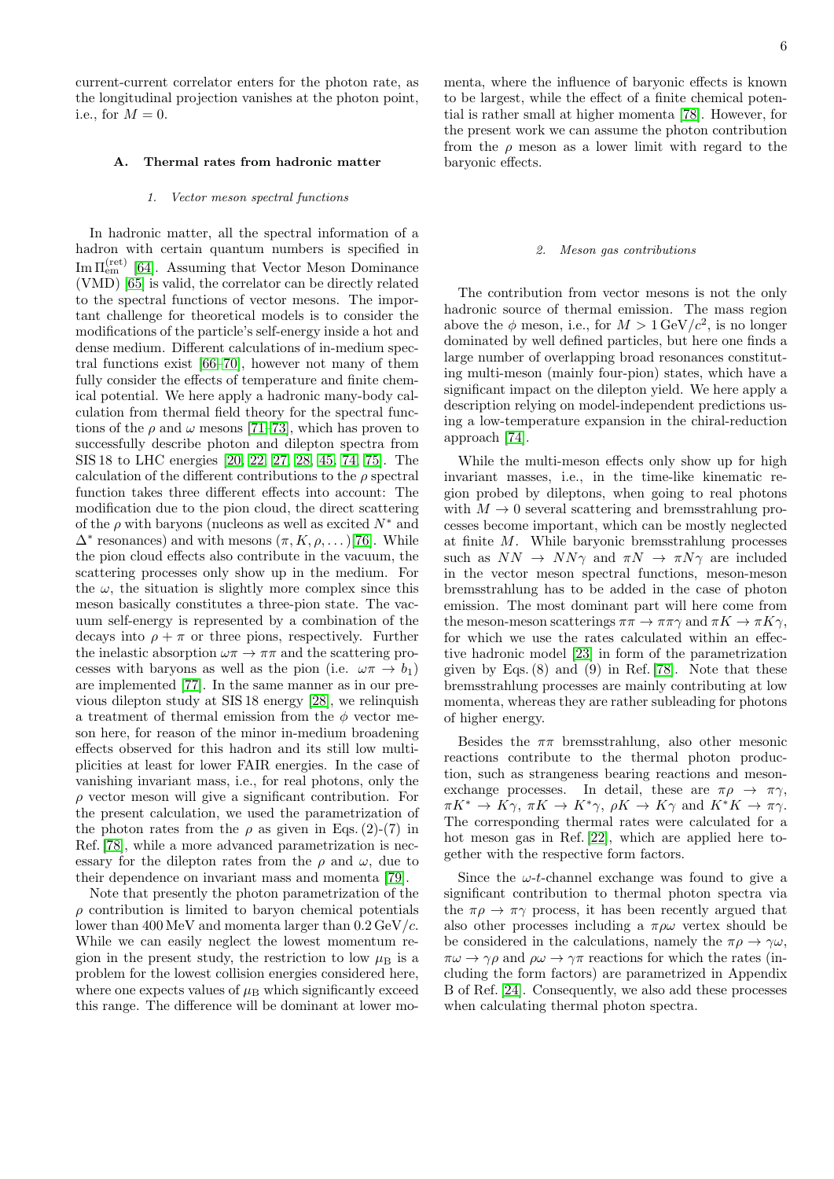current-current correlator enters for the photon rate, as the longitudinal projection vanishes at the photon point, i.e., for  $M = 0$ .

# A. Thermal rates from hadronic matter

#### 1. Vector meson spectral functions

In hadronic matter, all the spectral information of a hadron with certain quantum numbers is specified in Im  $\Pi_{em}^{(ret)}$  [\[64\]](#page-21-35). Assuming that Vector Meson Dominance (VMD) [\[65\]](#page-21-36) is valid, the correlator can be directly related to the spectral functions of vector mesons. The important challenge for theoretical models is to consider the modifications of the particle's self-energy inside a hot and dense medium. Different calculations of in-medium spectral functions exist [\[66–](#page-21-37)[70\]](#page-21-38), however not many of them fully consider the effects of temperature and finite chemical potential. We here apply a hadronic many-body calculation from thermal field theory for the spectral functions of the  $\rho$  and  $\omega$  mesons [\[71](#page-21-39)[–73\]](#page-21-40), which has proven to successfully describe photon and dilepton spectra from SIS 18 to LHC energies [\[20,](#page-21-41) [22,](#page-21-2) [27,](#page-21-19) [28,](#page-21-5) [45,](#page-21-16) [74,](#page-21-42) [75\]](#page-21-43). The calculation of the different contributions to the  $\rho$  spectral function takes three different effects into account: The modification due to the pion cloud, the direct scattering of the  $\rho$  with baryons (nucleons as well as excited  $N^*$  and  $\Delta^*$  resonances) and with mesons  $(\pi, K, \rho, ...)$  [\[76\]](#page-21-44). While the pion cloud effects also contribute in the vacuum, the scattering processes only show up in the medium. For the  $\omega$ , the situation is slightly more complex since this meson basically constitutes a three-pion state. The vacuum self-energy is represented by a combination of the decays into  $\rho + \pi$  or three pions, respectively. Further the inelastic absorption  $\omega \pi \to \pi \pi$  and the scattering processes with baryons as well as the pion (i.e.  $\omega \pi \rightarrow b_1$ ) are implemented [\[77\]](#page-21-45). In the same manner as in our previous dilepton study at SIS 18 energy [\[28\]](#page-21-5), we relinquish a treatment of thermal emission from the  $\phi$  vector meson here, for reason of the minor in-medium broadening effects observed for this hadron and its still low multiplicities at least for lower FAIR energies. In the case of vanishing invariant mass, i.e., for real photons, only the  $\rho$  vector meson will give a significant contribution. For the present calculation, we used the parametrization of the photon rates from the  $\rho$  as given in Eqs. (2)-(7) in Ref. [\[78\]](#page-21-46), while a more advanced parametrization is necessary for the dilepton rates from the  $\rho$  and  $\omega$ , due to their dependence on invariant mass and momenta [\[79\]](#page-21-47).

Note that presently the photon parametrization of the  $\rho$  contribution is limited to baryon chemical potentials lower than  $400 \,\text{MeV}$  and momenta larger than  $0.2 \,\text{GeV}/c$ . While we can easily neglect the lowest momentum region in the present study, the restriction to low  $\mu_B$  is a problem for the lowest collision energies considered here, where one expects values of  $\mu_B$  which significantly exceed this range. The difference will be dominant at lower momenta, where the influence of baryonic effects is known to be largest, while the effect of a finite chemical potential is rather small at higher momenta [\[78\]](#page-21-46). However, for the present work we can assume the photon contribution from the  $\rho$  meson as a lower limit with regard to the baryonic effects.

#### 2. Meson gas contributions

The contribution from vector mesons is not the only hadronic source of thermal emission. The mass region above the  $\phi$  meson, i.e., for  $M > 1 \,\text{GeV}/c^2$ , is no longer dominated by well defined particles, but here one finds a large number of overlapping broad resonances constituting multi-meson (mainly four-pion) states, which have a significant impact on the dilepton yield. We here apply a description relying on model-independent predictions using a low-temperature expansion in the chiral-reduction approach [\[74\]](#page-21-42).

While the multi-meson effects only show up for high invariant masses, i.e., in the time-like kinematic region probed by dileptons, when going to real photons with  $M \to 0$  several scattering and bremsstrahlung processes become important, which can be mostly neglected at finite M. While baryonic bremsstrahlung processes such as  $NN \rightarrow NN\gamma$  and  $\pi N \rightarrow \pi N\gamma$  are included in the vector meson spectral functions, meson-meson bremsstrahlung has to be added in the case of photon emission. The most dominant part will here come from the meson-meson scatterings  $\pi \pi \to \pi \pi \gamma$  and  $\pi K \to \pi K \gamma$ , for which we use the rates calculated within an effective hadronic model [\[23\]](#page-21-48) in form of the parametrization given by Eqs.  $(8)$  and  $(9)$  in Ref. [\[78\]](#page-21-46). Note that these bremsstrahlung processes are mainly contributing at low momenta, whereas they are rather subleading for photons of higher energy.

Besides the  $\pi\pi$  bremsstrahlung, also other mesonic reactions contribute to the thermal photon production, such as strangeness bearing reactions and mesonexchange processes. In detail, these are  $\pi \rho \rightarrow \pi \gamma$ ,  $\pi K^* \to K\gamma$ ,  $\pi K \to K^*\gamma$ ,  $\rho K \to K\gamma$  and  $K^*K \to \pi\gamma$ . The corresponding thermal rates were calculated for a hot meson gas in Ref. [\[22\]](#page-21-2), which are applied here together with the respective form factors.

Since the  $\omega$ -t-channel exchange was found to give a significant contribution to thermal photon spectra via the  $\pi \rho \to \pi \gamma$  process, it has been recently argued that also other processes including a  $\pi \rho \omega$  vertex should be be considered in the calculations, namely the  $\pi \rho \to \gamma \omega$ ,  $\pi\omega \rightarrow \gamma\rho$  and  $\rho\omega \rightarrow \gamma\pi$  reactions for which the rates (including the form factors) are parametrized in Appendix B of Ref. [\[24\]](#page-21-3). Consequently, we also add these processes when calculating thermal photon spectra.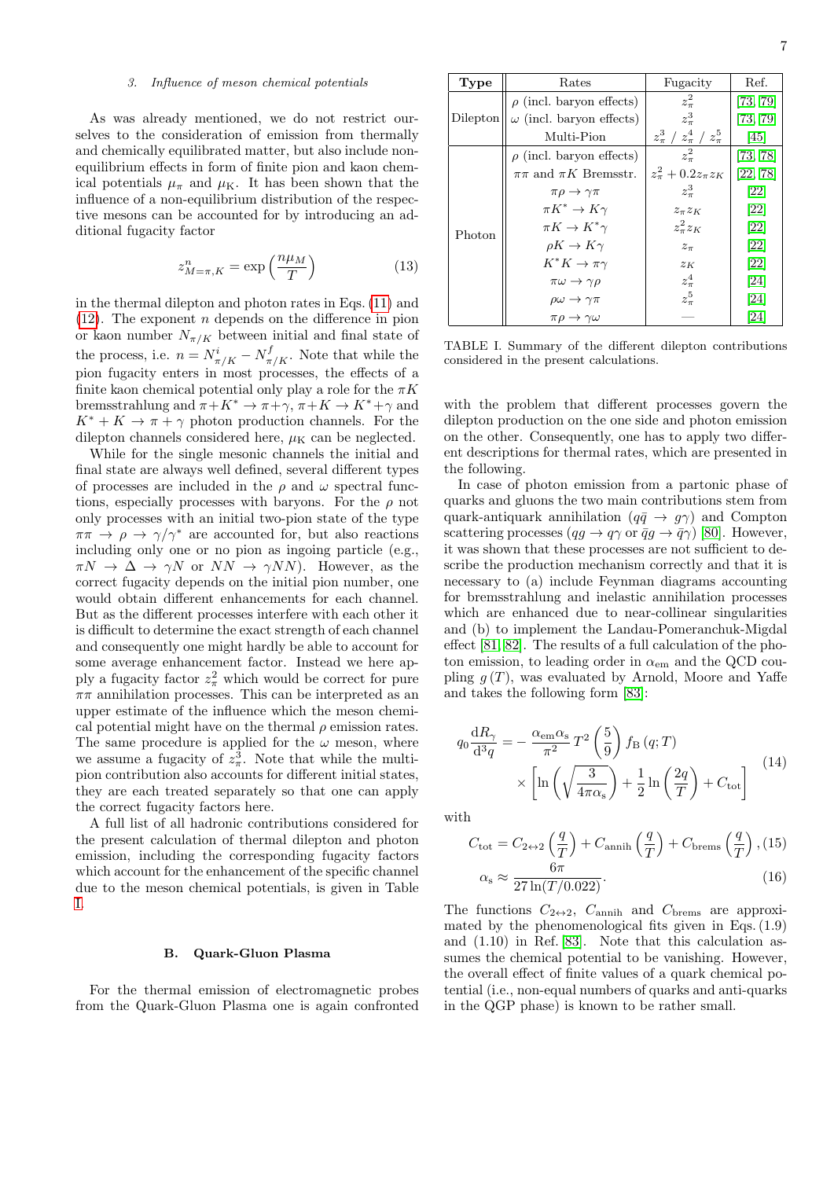# 3. Influence of meson chemical potentials

As was already mentioned, we do not restrict ourselves to the consideration of emission from thermally and chemically equilibrated matter, but also include nonequilibrium effects in form of finite pion and kaon chemical potentials  $\mu_{\pi}$  and  $\mu_{\rm K}$ . It has been shown that the influence of a non-equilibrium distribution of the respective mesons can be accounted for by introducing an additional fugacity factor

$$
z_{M=\pi,K}^{n} = \exp\left(\frac{n\mu_M}{T}\right) \tag{13}
$$

in the thermal dilepton and photon rates in Eqs. [\(11\)](#page-4-1) and  $(12)$ . The exponent *n* depends on the difference in pion or kaon number  $N_{\pi/K}$  between initial and final state of the process, i.e.  $n = N_{\pi/K}^i - N_{\pi/K}^f$ . Note that while the pion fugacity enters in most processes, the effects of a finite kaon chemical potential only play a role for the  $\pi K$ bremsstrahlung and  $\pi + K^* \to \pi + \gamma$ ,  $\pi + K \to K^* + \gamma$  and  $K^* + K \to \pi + \gamma$  photon production channels. For the dilepton channels considered here,  $\mu$ <sub>K</sub> can be neglected.

While for the single mesonic channels the initial and final state are always well defined, several different types of processes are included in the  $\rho$  and  $\omega$  spectral functions, especially processes with baryons. For the  $\rho$  not only processes with an initial two-pion state of the type  $\pi\pi \to \rho \to \gamma/\gamma^*$  are accounted for, but also reactions including only one or no pion as ingoing particle (e.g.,  $\pi N \to \Delta \to \gamma N$  or  $NN \to \gamma NN$ ). However, as the correct fugacity depends on the initial pion number, one would obtain different enhancements for each channel. But as the different processes interfere with each other it is difficult to determine the exact strength of each channel and consequently one might hardly be able to account for some average enhancement factor. Instead we here apply a fugacity factor  $z_{\pi}^2$  which would be correct for pure  $\pi\pi$  annihilation processes. This can be interpreted as an upper estimate of the influence which the meson chemical potential might have on the thermal  $\rho$  emission rates. The same procedure is applied for the  $\omega$  meson, where we assume a fugacity of  $z_{\pi}^3$ . Note that while the multipion contribution also accounts for different initial states, they are each treated separately so that one can apply the correct fugacity factors here.

A full list of all hadronic contributions considered for the present calculation of thermal dilepton and photon emission, including the corresponding fugacity factors which account for the enhancement of the specific channel due to the meson chemical potentials, is given in Table [I.](#page-6-0)

#### B. Quark-Gluon Plasma

For the thermal emission of electromagnetic probes from the Quark-Gluon Plasma one is again confronted

| Type     | Rates                                | Fugacity                                      | Ref.     |
|----------|--------------------------------------|-----------------------------------------------|----------|
| Dilepton | $\rho$ (incl. baryon effects)        | $z_{\pi}^2$                                   | [73, 79] |
|          | $\omega$ (incl. baryon effects)      | $z_\pi^3$                                     | [73, 79] |
|          | Multi-Pion                           | $z_{\pi}^{3}$ / $z_{\pi}^{4}$ / $z_{\pi}^{5}$ | [45]     |
| Photon   | $\rho$ (incl. baryon effects)        | $z^2$                                         | [73, 78] |
|          | $\pi\pi$ and $\pi K$ Bremsstr.       | $z_{\pi}^2 + 0.2z_{\pi}z_K$                   | [22, 78] |
|          | $\pi \rho \rightarrow \gamma \pi$    | $z_{\pi}^3$                                   | [22]     |
|          | $\pi K^* \to K\gamma$                | $z_{\pi}z_{K}$                                | [22]     |
|          | $\pi K \to K^* \gamma$               | $z_{\pi}^2 z_K$                               | [22]     |
|          | $\rho K \to K \gamma$                | $z_{\pi}$                                     | [22]     |
|          | $K^*K \to \pi\gamma$                 | $z_K$                                         | [22]     |
|          | $\pi\omega \rightarrow \gamma\rho$   | $z_\pi^4$                                     | [24]     |
|          | $\rho\omega\rightarrow\gamma\pi$     | $z_{\pi}^5$                                   | [24]     |
|          | $\pi \rho \rightarrow \gamma \omega$ |                                               | [24]     |

<span id="page-6-0"></span>TABLE I. Summary of the different dilepton contributions considered in the present calculations.

with the problem that different processes govern the dilepton production on the one side and photon emission on the other. Consequently, one has to apply two different descriptions for thermal rates, which are presented in the following.

In case of photon emission from a partonic phase of quarks and gluons the two main contributions stem from quark-antiquark annihilation  $(q\bar{q} \rightarrow g\gamma)$  and Compton scattering processes  $(qg \to q\gamma \text{ or } \bar{q}g \to \bar{q}\gamma)$  [\[80\]](#page-21-49). However, it was shown that these processes are not sufficient to describe the production mechanism correctly and that it is necessary to (a) include Feynman diagrams accounting for bremsstrahlung and inelastic annihilation processes which are enhanced due to near-collinear singularities and (b) to implement the Landau-Pomeranchuk-Migdal effect [\[81,](#page-21-50) [82\]](#page-21-51). The results of a full calculation of the photon emission, to leading order in  $\alpha_{em}$  and the QCD coupling  $g(T)$ , was evaluated by Arnold, Moore and Yaffe and takes the following form [\[83\]](#page-21-52):

$$
q_0 \frac{dR_{\gamma}}{d^3 q} = -\frac{\alpha_{\rm em} \alpha_{\rm s}}{\pi^2} T^2 \left(\frac{5}{9}\right) f_{\rm B}(q;T) \times \left[ \ln \left( \sqrt{\frac{3}{4\pi \alpha_{\rm s}}} \right) + \frac{1}{2} \ln \left( \frac{2q}{T} \right) + C_{\rm tot} \right]
$$
(14)

with

$$
C_{\text{tot}} = C_{2 \leftrightarrow 2} \left(\frac{q}{T}\right) + C_{\text{annih}} \left(\frac{q}{T}\right) + C_{\text{brems}} \left(\frac{q}{T}\right), (15)
$$

$$
\alpha_{\text{s}} \approx \frac{6\pi}{27 \ln(T/0.022)}.
$$
 (16)

The functions  $C_{2\leftrightarrow 2}$ ,  $C_{\text{annih}}$  and  $C_{\text{brems}}$  are approximated by the phenomenological fits given in Eqs. (1.9) and (1.10) in Ref. [\[83\]](#page-21-52). Note that this calculation assumes the chemical potential to be vanishing. However, the overall effect of finite values of a quark chemical potential (i.e., non-equal numbers of quarks and anti-quarks in the QGP phase) is known to be rather small.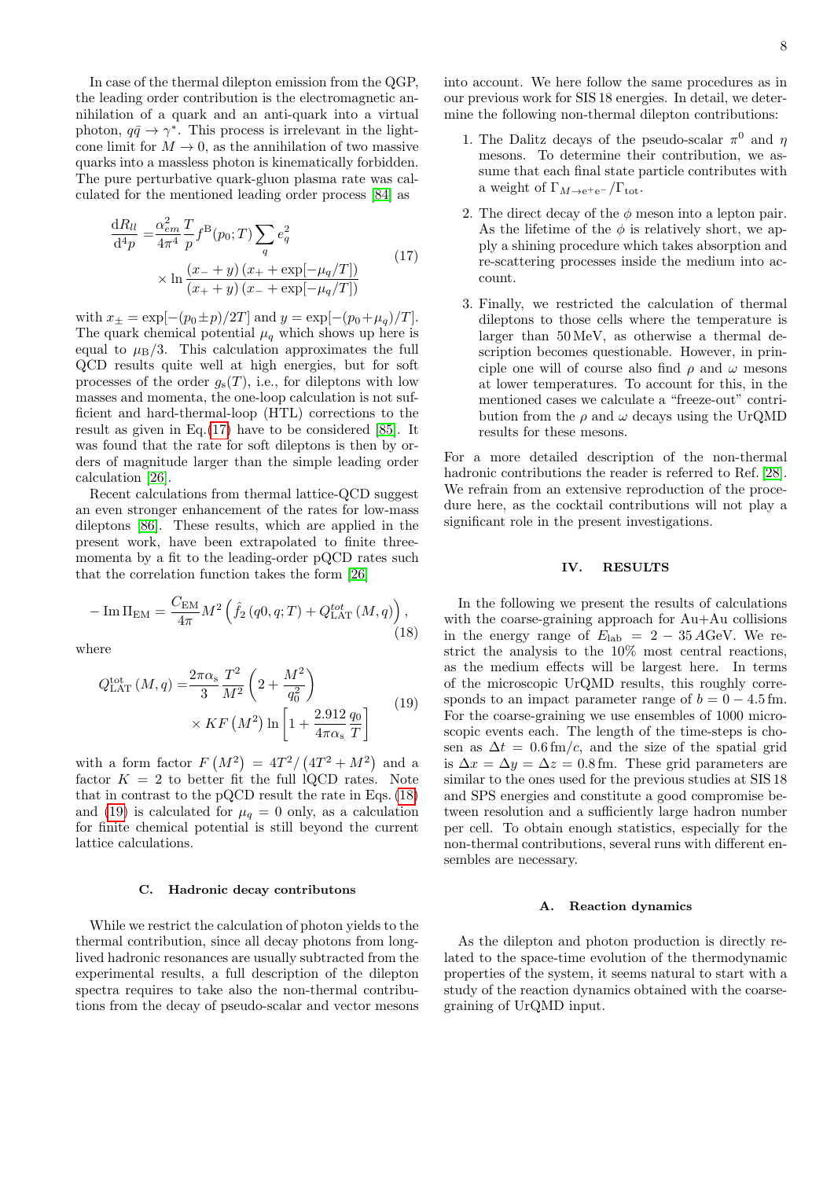In case of the thermal dilepton emission from the QGP, the leading order contribution is the electromagnetic annihilation of a quark and an anti-quark into a virtual photon,  $q\bar{q} \to \gamma^*$ . This process is irrelevant in the lightcone limit for  $M \to 0$ , as the annihilation of two massive quarks into a massless photon is kinematically forbidden. The pure perturbative quark-gluon plasma rate was calculated for the mentioned leading order process [\[84\]](#page-21-53) as

<span id="page-7-1"></span>
$$
\frac{dR_{ll}}{d^4p} = \frac{\alpha_{em}^2}{4\pi^4} \frac{T}{p} f^B(p_0; T) \sum_q e_q^2
$$
  
 
$$
\times \ln \frac{(x_- + y) (x_+ + \exp[-\mu_q/T])}{(x_+ + y) (x_- + \exp[-\mu_q/T])}
$$
(17)

with  $x_{\pm} = \exp[-(p_0 \pm p)/2T]$  and  $y = \exp[-(p_0 + \mu_q)/T]$ . The quark chemical potential  $\mu_q$  which shows up here is equal to  $\mu_B/3$ . This calculation approximates the full QCD results quite well at high energies, but for soft processes of the order  $g_s(T)$ , i.e., for dileptons with low masses and momenta, the one-loop calculation is not sufficient and hard-thermal-loop (HTL) corrections to the result as given in Eq.[\(17\)](#page-7-1) have to be considered [\[85\]](#page-21-54). It was found that the rate for soft dileptons is then by orders of magnitude larger than the simple leading order calculation [\[26\]](#page-21-55).

Recent calculations from thermal lattice-QCD suggest an even stronger enhancement of the rates for low-mass dileptons [\[86\]](#page-21-56). These results, which are applied in the present work, have been extrapolated to finite threemomenta by a fit to the leading-order pQCD rates such that the correlation function takes the form [\[26\]](#page-21-55)

<span id="page-7-2"></span>
$$
-\operatorname{Im}\Pi_{\text{EM}} = \frac{C_{\text{EM}}}{4\pi} M^2 \left( \hat{f}_2 \left( q0, q; T \right) + Q_{\text{LAT}}^{tot} \left( M, q \right) \right),\tag{18}
$$

where

<span id="page-7-3"></span>
$$
Q_{\text{LAT}}^{\text{tot}}(M,q) = \frac{2\pi\alpha_{\text{s}}}{3} \frac{T^2}{M^2} \left(2 + \frac{M^2}{q_0^2}\right) \times KF\left(M^2\right) \ln\left[1 + \frac{2.912}{4\pi\alpha_{\text{s}}} \frac{q_0}{T}\right]
$$
(19)

with a form factor  $F(M^2) = 4T^2/(4T^2 + M^2)$  and a factor  $K = 2$  to better fit the full lQCD rates. Note that in contrast to the pQCD result the rate in Eqs. [\(18\)](#page-7-2) and [\(19\)](#page-7-3) is calculated for  $\mu_q = 0$  only, as a calculation for finite chemical potential is still beyond the current lattice calculations.

#### C. Hadronic decay contributons

While we restrict the calculation of photon yields to the thermal contribution, since all decay photons from longlived hadronic resonances are usually subtracted from the experimental results, a full description of the dilepton spectra requires to take also the non-thermal contributions from the decay of pseudo-scalar and vector mesons

into account. We here follow the same procedures as in our previous work for SIS 18 energies. In detail, we determine the following non-thermal dilepton contributions:

- 1. The Dalitz decays of the pseudo-scalar  $\pi^0$  and  $\eta$ mesons. To determine their contribution, we assume that each final state particle contributes with a weight of  $\Gamma_{M\to \text{e}^+\text{e}^-}/\Gamma_{\text{tot}}$ .
- 2. The direct decay of the  $\phi$  meson into a lepton pair. As the lifetime of the  $\phi$  is relatively short, we apply a shining procedure which takes absorption and re-scattering processes inside the medium into account.
- 3. Finally, we restricted the calculation of thermal dileptons to those cells where the temperature is larger than 50 MeV, as otherwise a thermal description becomes questionable. However, in principle one will of course also find  $\rho$  and  $\omega$  mesons at lower temperatures. To account for this, in the mentioned cases we calculate a "freeze-out" contribution from the  $\rho$  and  $\omega$  decays using the UrQMD results for these mesons.

For a more detailed description of the non-thermal hadronic contributions the reader is referred to Ref. [\[28\]](#page-21-5). We refrain from an extensive reproduction of the procedure here, as the cocktail contributions will not play a significant role in the present investigations.

#### <span id="page-7-0"></span>IV. RESULTS

In the following we present the results of calculations with the coarse-graining approach for Au+Au collisions in the energy range of  $E_{\rm lab} = 2 - 35 \,\text{AGeV}$ . We restrict the analysis to the 10% most central reactions, as the medium effects will be largest here. In terms of the microscopic UrQMD results, this roughly corresponds to an impact parameter range of  $b = 0 - 4.5$  fm. For the coarse-graining we use ensembles of 1000 microscopic events each. The length of the time-steps is chosen as  $\Delta t = 0.6$  fm/c, and the size of the spatial grid is  $\Delta x = \Delta y = \Delta z = 0.8$  fm. These grid parameters are similar to the ones used for the previous studies at SIS 18 and SPS energies and constitute a good compromise between resolution and a sufficiently large hadron number per cell. To obtain enough statistics, especially for the non-thermal contributions, several runs with different ensembles are necessary.

#### A. Reaction dynamics

As the dilepton and photon production is directly related to the space-time evolution of the thermodynamic properties of the system, it seems natural to start with a study of the reaction dynamics obtained with the coarsegraining of UrQMD input.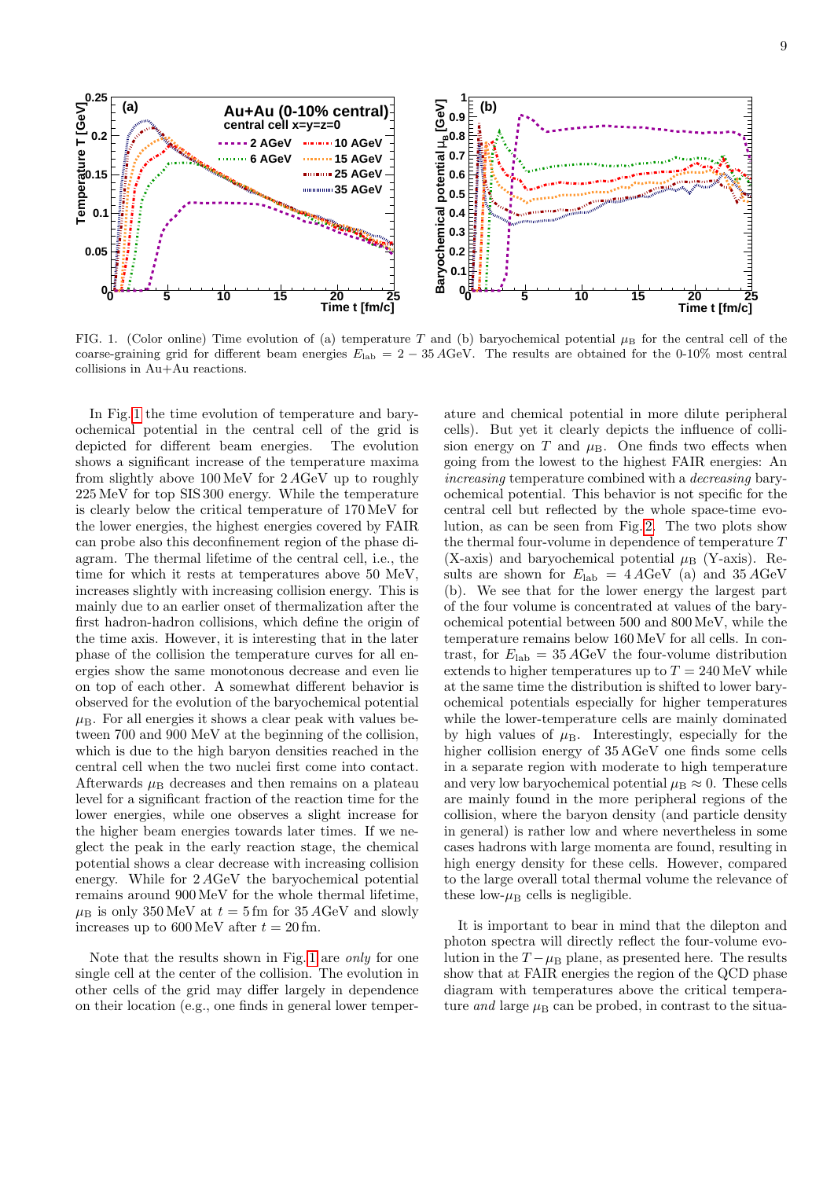

<span id="page-8-0"></span>FIG. 1. (Color online) Time evolution of (a) temperature T and (b) baryochemical potential  $\mu_B$  for the central cell of the coarse-graining grid for different beam energies  $E_{\text{lab}} = 2 - 35 \text{ AGeV}$ . The results are obtained for the 0-10% most central collisions in Au+Au reactions.

In Fig. [1](#page-8-0) the time evolution of temperature and baryochemical potential in the central cell of the grid is depicted for different beam energies. The evolution shows a significant increase of the temperature maxima from slightly above 100 MeV for 2 AGeV up to roughly 225 MeV for top SIS 300 energy. While the temperature is clearly below the critical temperature of 170 MeV for the lower energies, the highest energies covered by FAIR can probe also this deconfinement region of the phase diagram. The thermal lifetime of the central cell, i.e., the time for which it rests at temperatures above 50 MeV, increases slightly with increasing collision energy. This is mainly due to an earlier onset of thermalization after the first hadron-hadron collisions, which define the origin of the time axis. However, it is interesting that in the later phase of the collision the temperature curves for all energies show the same monotonous decrease and even lie on top of each other. A somewhat different behavior is observed for the evolution of the baryochemical potential  $\mu_{\rm B}$ . For all energies it shows a clear peak with values between 700 and 900 MeV at the beginning of the collision, which is due to the high baryon densities reached in the central cell when the two nuclei first come into contact. Afterwards  $\mu_{\rm B}$  decreases and then remains on a plateau level for a significant fraction of the reaction time for the lower energies, while one observes a slight increase for the higher beam energies towards later times. If we neglect the peak in the early reaction stage, the chemical potential shows a clear decrease with increasing collision energy. While for 2 AGeV the baryochemical potential remains around 900 MeV for the whole thermal lifetime,  $\mu_{\rm B}$  is only 350 MeV at  $t = 5$  fm for 35 AGeV and slowly increases up to  $600 \,\text{MeV}$  after  $t = 20 \,\text{fm}$ .

Note that the results shown in Fig. [1](#page-8-0) are only for one single cell at the center of the collision. The evolution in other cells of the grid may differ largely in dependence on their location (e.g., one finds in general lower temperature and chemical potential in more dilute peripheral cells). But yet it clearly depicts the influence of collision energy on  $T$  and  $\mu_{\rm B}$ . One finds two effects when going from the lowest to the highest FAIR energies: An increasing temperature combined with a decreasing baryochemical potential. This behavior is not specific for the central cell but reflected by the whole space-time evolution, as can be seen from Fig. [2.](#page-9-0) The two plots show the thermal four-volume in dependence of temperature T (X-axis) and baryochemical potential  $\mu$ <sub>B</sub> (Y-axis). Results are shown for  $E_{\text{lab}} = 4 A \text{GeV}$  (a) and  $35 A \text{GeV}$ (b). We see that for the lower energy the largest part of the four volume is concentrated at values of the baryochemical potential between 500 and 800 MeV, while the temperature remains below 160 MeV for all cells. In contrast, for  $E_{\text{lab}} = 35 \,\text{AGeV}$  the four-volume distribution extends to higher temperatures up to  $T = 240 \,\text{MeV}$  while at the same time the distribution is shifted to lower baryochemical potentials especially for higher temperatures while the lower-temperature cells are mainly dominated by high values of  $\mu_B$ . Interestingly, especially for the higher collision energy of 35 AGeV one finds some cells in a separate region with moderate to high temperature and very low baryochemical potential  $\mu_B \approx 0$ . These cells are mainly found in the more peripheral regions of the collision, where the baryon density (and particle density in general) is rather low and where nevertheless in some cases hadrons with large momenta are found, resulting in high energy density for these cells. However, compared to the large overall total thermal volume the relevance of these low- $\mu_B$  cells is negligible.

It is important to bear in mind that the dilepton and photon spectra will directly reflect the four-volume evolution in the  $T - \mu_B$  plane, as presented here. The results show that at FAIR energies the region of the QCD phase diagram with temperatures above the critical temperature and large  $\mu_B$  can be probed, in contrast to the situa-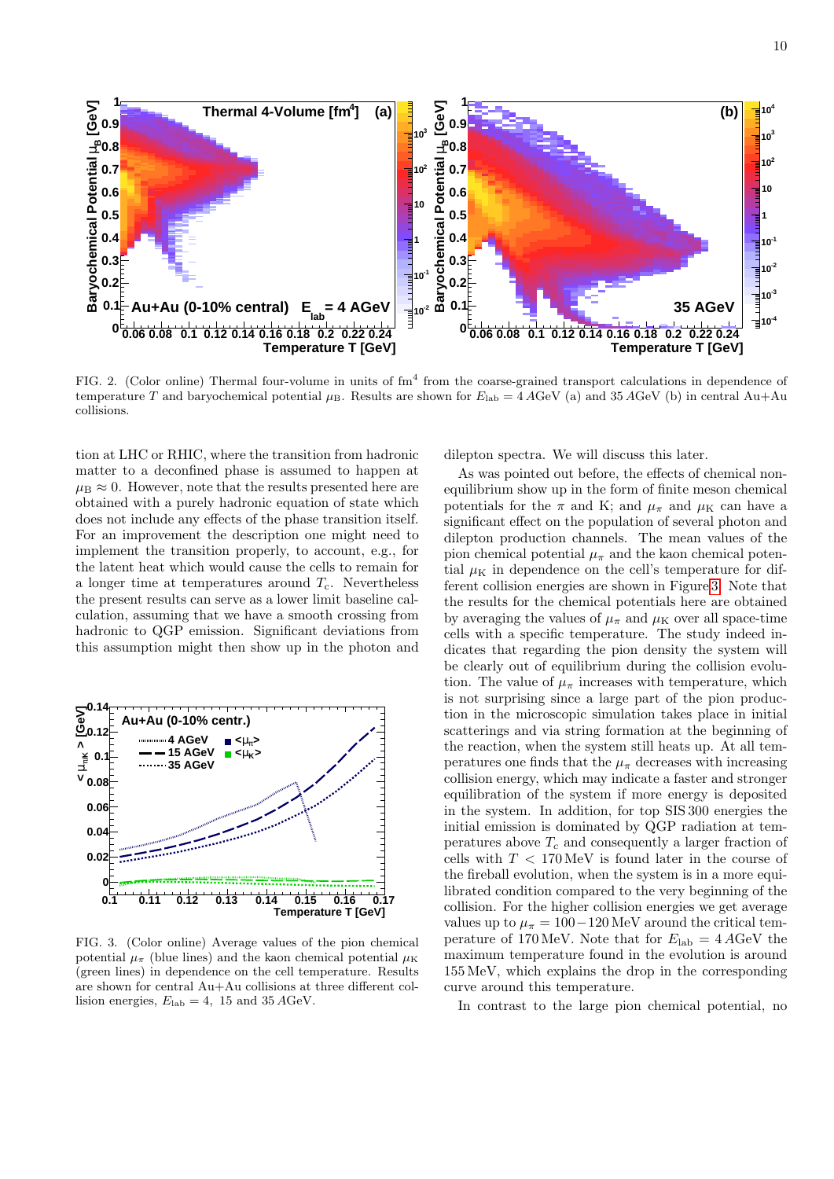

<span id="page-9-0"></span>FIG. 2. (Color online) Thermal four-volume in units of  $\text{fm}^4$  from the coarse-grained transport calculations in dependence of temperature T and baryochemical potential  $\mu_B$ . Results are shown for  $E_{lab} = 4 AGeV$  (a) and 35 AGeV (b) in central Au+Au collisions.

tion at LHC or RHIC, where the transition from hadronic matter to a deconfined phase is assumed to happen at  $\mu_B \approx 0$ . However, note that the results presented here are obtained with a purely hadronic equation of state which does not include any effects of the phase transition itself. For an improvement the description one might need to implement the transition properly, to account, e.g., for the latent heat which would cause the cells to remain for a longer time at temperatures around  $T_c$ . Nevertheless the present results can serve as a lower limit baseline calculation, assuming that we have a smooth crossing from hadronic to QGP emission. Significant deviations from this assumption might then show up in the photon and



<span id="page-9-1"></span>FIG. 3. (Color online) Average values of the pion chemical potential  $\mu_{\pi}$  (blue lines) and the kaon chemical potential  $\mu_{\rm K}$ (green lines) in dependence on the cell temperature. Results are shown for central Au+Au collisions at three different collision energies,  $E_{\text{lab}} = 4$ , 15 and 35 AGeV.

dilepton spectra. We will discuss this later.

As was pointed out before, the effects of chemical nonequilibrium show up in the form of finite meson chemical potentials for the  $\pi$  and K; and  $\mu_{\pi}$  and  $\mu_{\rm K}$  can have a significant effect on the population of several photon and dilepton production channels. The mean values of the pion chemical potential  $\mu_{\pi}$  and the kaon chemical potential  $\mu$ <sub>K</sub> in dependence on the cell's temperature for different collision energies are shown in Figure [3.](#page-9-1) Note that the results for the chemical potentials here are obtained by averaging the values of  $\mu_{\pi}$  and  $\mu_{\rm K}$  over all space-time cells with a specific temperature. The study indeed indicates that regarding the pion density the system will be clearly out of equilibrium during the collision evolution. The value of  $\mu_{\pi}$  increases with temperature, which is not surprising since a large part of the pion production in the microscopic simulation takes place in initial scatterings and via string formation at the beginning of the reaction, when the system still heats up. At all temperatures one finds that the  $\mu_{\pi}$  decreases with increasing collision energy, which may indicate a faster and stronger equilibration of the system if more energy is deposited in the system. In addition, for top SIS 300 energies the initial emission is dominated by QGP radiation at temperatures above  $T_c$  and consequently a larger fraction of cells with  $T < 170 \,\text{MeV}$  is found later in the course of the fireball evolution, when the system is in a more equilibrated condition compared to the very beginning of the collision. For the higher collision energies we get average values up to  $\mu_{\pi} = 100 - 120 \,\text{MeV}$  around the critical temperature of 170 MeV. Note that for  $E_{\text{lab}} = 4 \text{ AGeV}$  the maximum temperature found in the evolution is around 155 MeV, which explains the drop in the corresponding curve around this temperature.

In contrast to the large pion chemical potential, no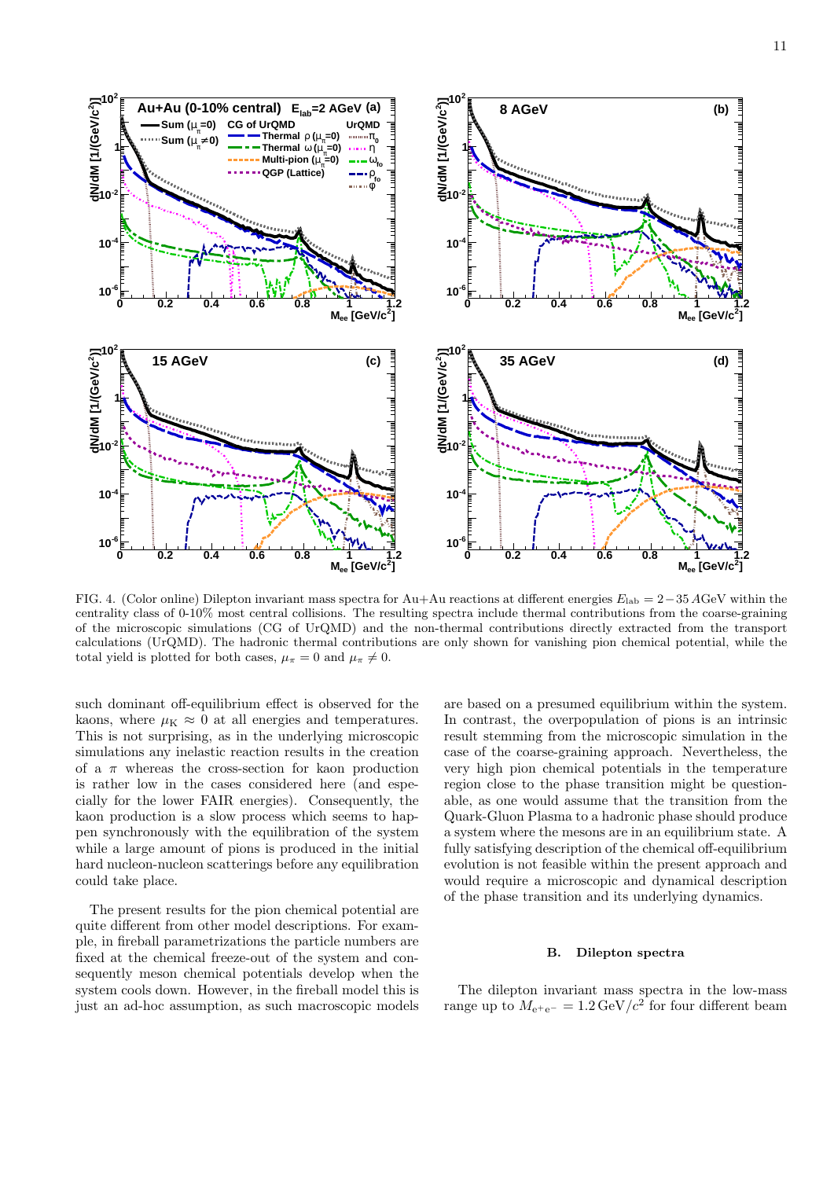

<span id="page-10-0"></span>FIG. 4. (Color online) Dilepton invariant mass spectra for Au+Au reactions at different energies  $E_{\text{lab}} = 2-35$  AGeV within the centrality class of 0-10% most central collisions. The resulting spectra include thermal contributions from the coarse-graining of the microscopic simulations (CG of UrQMD) and the non-thermal contributions directly extracted from the transport calculations (UrQMD). The hadronic thermal contributions are only shown for vanishing pion chemical potential, while the total yield is plotted for both cases,  $\mu_{\pi} = 0$  and  $\mu_{\pi} \neq 0$ .

such dominant off-equilibrium effect is observed for the kaons, where  $\mu$ <sub>K</sub>  $\approx$  0 at all energies and temperatures. This is not surprising, as in the underlying microscopic simulations any inelastic reaction results in the creation of a  $\pi$  whereas the cross-section for kaon production is rather low in the cases considered here (and especially for the lower FAIR energies). Consequently, the kaon production is a slow process which seems to happen synchronously with the equilibration of the system while a large amount of pions is produced in the initial hard nucleon-nucleon scatterings before any equilibration could take place.

The present results for the pion chemical potential are quite different from other model descriptions. For example, in fireball parametrizations the particle numbers are fixed at the chemical freeze-out of the system and consequently meson chemical potentials develop when the system cools down. However, in the fireball model this is just an ad-hoc assumption, as such macroscopic models

are based on a presumed equilibrium within the system. In contrast, the overpopulation of pions is an intrinsic result stemming from the microscopic simulation in the case of the coarse-graining approach. Nevertheless, the very high pion chemical potentials in the temperature region close to the phase transition might be questionable, as one would assume that the transition from the Quark-Gluon Plasma to a hadronic phase should produce a system where the mesons are in an equilibrium state. A fully satisfying description of the chemical off-equilibrium evolution is not feasible within the present approach and would require a microscopic and dynamical description of the phase transition and its underlying dynamics.

### B. Dilepton spectra

The dilepton invariant mass spectra in the low-mass range up to  $M_{e^+e^-} = 1.2 \,\text{GeV}/c^2$  for four different beam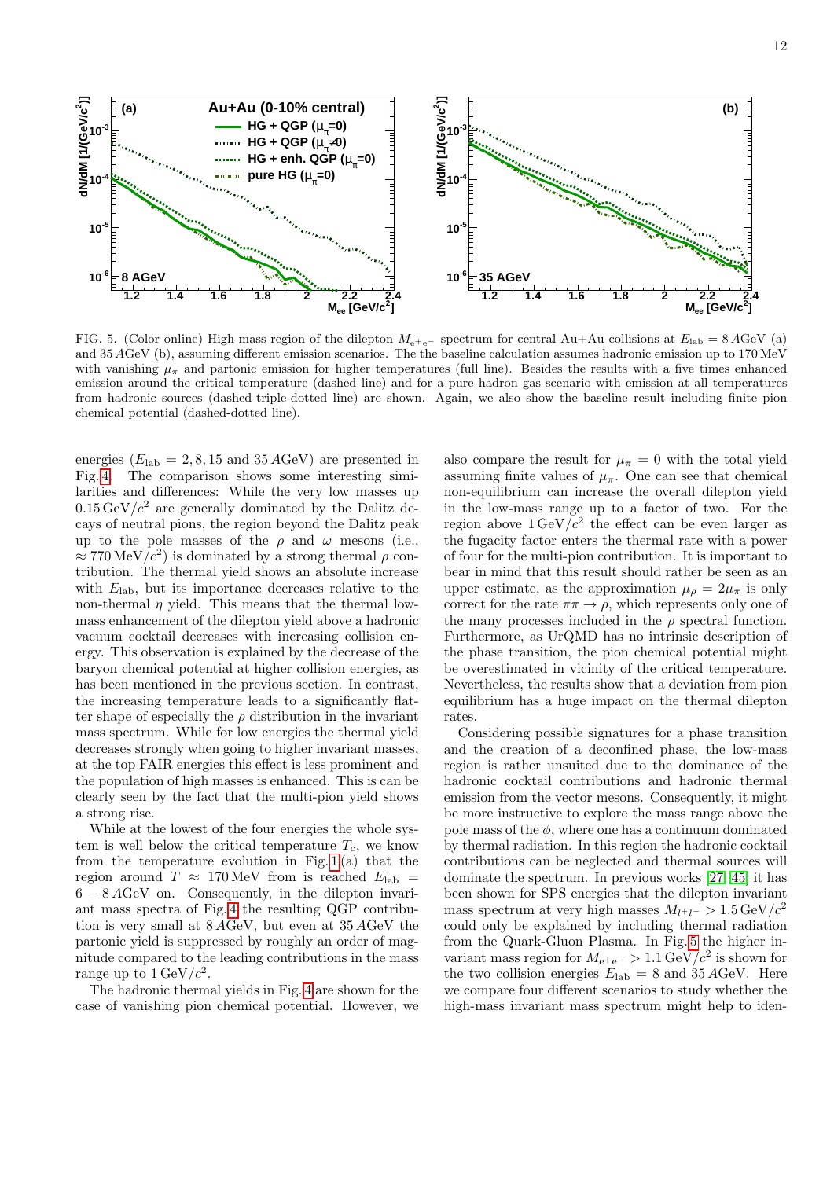

<span id="page-11-0"></span>FIG. 5. (Color online) High-mass region of the dilepton  $M_{e^+e^-}$  spectrum for central Au+Au collisions at  $E_{lab} = 8 AGeV$  (a) and 35 AGeV (b), assuming different emission scenarios. The the baseline calculation assumes hadronic emission up to 170 MeV with vanishing  $\mu_{\pi}$  and partonic emission for higher temperatures (full line). Besides the results with a five times enhanced emission around the critical temperature (dashed line) and for a pure hadron gas scenario with emission at all temperatures from hadronic sources (dashed-triple-dotted line) are shown. Again, we also show the baseline result including finite pion chemical potential (dashed-dotted line).

energies  $(E_{\text{lab}} = 2, 8, 15 \text{ and } 35 \text{ AGeV})$  are presented in Fig. [4.](#page-10-0) The comparison shows some interesting similarities and differences: While the very low masses up  $0.15 \,\text{GeV}/c^2$  are generally dominated by the Dalitz decays of neutral pions, the region beyond the Dalitz peak up to the pole masses of the  $\rho$  and  $\omega$  mesons (i.e.,  $\approx 770 \,\text{MeV}/c^2$ ) is dominated by a strong thermal  $\rho$  contribution. The thermal yield shows an absolute increase with  $E_{\rm lab}$ , but its importance decreases relative to the non-thermal  $\eta$  yield. This means that the thermal lowmass enhancement of the dilepton yield above a hadronic vacuum cocktail decreases with increasing collision energy. This observation is explained by the decrease of the baryon chemical potential at higher collision energies, as has been mentioned in the previous section. In contrast, the increasing temperature leads to a significantly flatter shape of especially the  $\rho$  distribution in the invariant mass spectrum. While for low energies the thermal yield decreases strongly when going to higher invariant masses, at the top FAIR energies this effect is less prominent and the population of high masses is enhanced. This is can be clearly seen by the fact that the multi-pion yield shows a strong rise.

While at the lowest of the four energies the whole system is well below the critical temperature  $T_c$ , we know from the temperature evolution in Fig.  $1(a)$  that the region around  $T \approx 170 \,\text{MeV}$  from is reached  $E_{\text{lab}} =$ 6 − 8 AGeV on. Consequently, in the dilepton invariant mass spectra of Fig. [4](#page-10-0) the resulting QGP contribution is very small at 8 AGeV, but even at 35 AGeV the partonic yield is suppressed by roughly an order of magnitude compared to the leading contributions in the mass range up to  $1 \,\mathrm{GeV}/c^2$ .

The hadronic thermal yields in Fig. [4](#page-10-0) are shown for the case of vanishing pion chemical potential. However, we

also compare the result for  $\mu_{\pi} = 0$  with the total yield assuming finite values of  $\mu_{\pi}$ . One can see that chemical non-equilibrium can increase the overall dilepton yield in the low-mass range up to a factor of two. For the region above  $1 \text{ GeV}/c^2$  the effect can be even larger as the fugacity factor enters the thermal rate with a power of four for the multi-pion contribution. It is important to bear in mind that this result should rather be seen as an upper estimate, as the approximation  $\mu_{\rho} = 2\mu_{\pi}$  is only correct for the rate  $\pi \pi \to \rho$ , which represents only one of the many processes included in the  $\rho$  spectral function. Furthermore, as UrQMD has no intrinsic description of the phase transition, the pion chemical potential might be overestimated in vicinity of the critical temperature. Nevertheless, the results show that a deviation from pion equilibrium has a huge impact on the thermal dilepton rates.

Considering possible signatures for a phase transition and the creation of a deconfined phase, the low-mass region is rather unsuited due to the dominance of the hadronic cocktail contributions and hadronic thermal emission from the vector mesons. Consequently, it might be more instructive to explore the mass range above the pole mass of the  $\phi$ , where one has a continuum dominated by thermal radiation. In this region the hadronic cocktail contributions can be neglected and thermal sources will dominate the spectrum. In previous works [\[27,](#page-21-19) [45\]](#page-21-16) it has been shown for SPS energies that the dilepton invariant mass spectrum at very high masses  $M_{l^+l^-} > 1.5 \,\text{GeV}/c^2$ could only be explained by including thermal radiation from the Quark-Gluon Plasma. In Fig. [5](#page-11-0) the higher invariant mass region for  $M_{\rm e^+e^-} > 1.1 \,\text{GeV}/c^2$  is shown for the two collision energies  $E_{\rm lab} = 8$  and 35 AGeV. Here we compare four different scenarios to study whether the high-mass invariant mass spectrum might help to iden-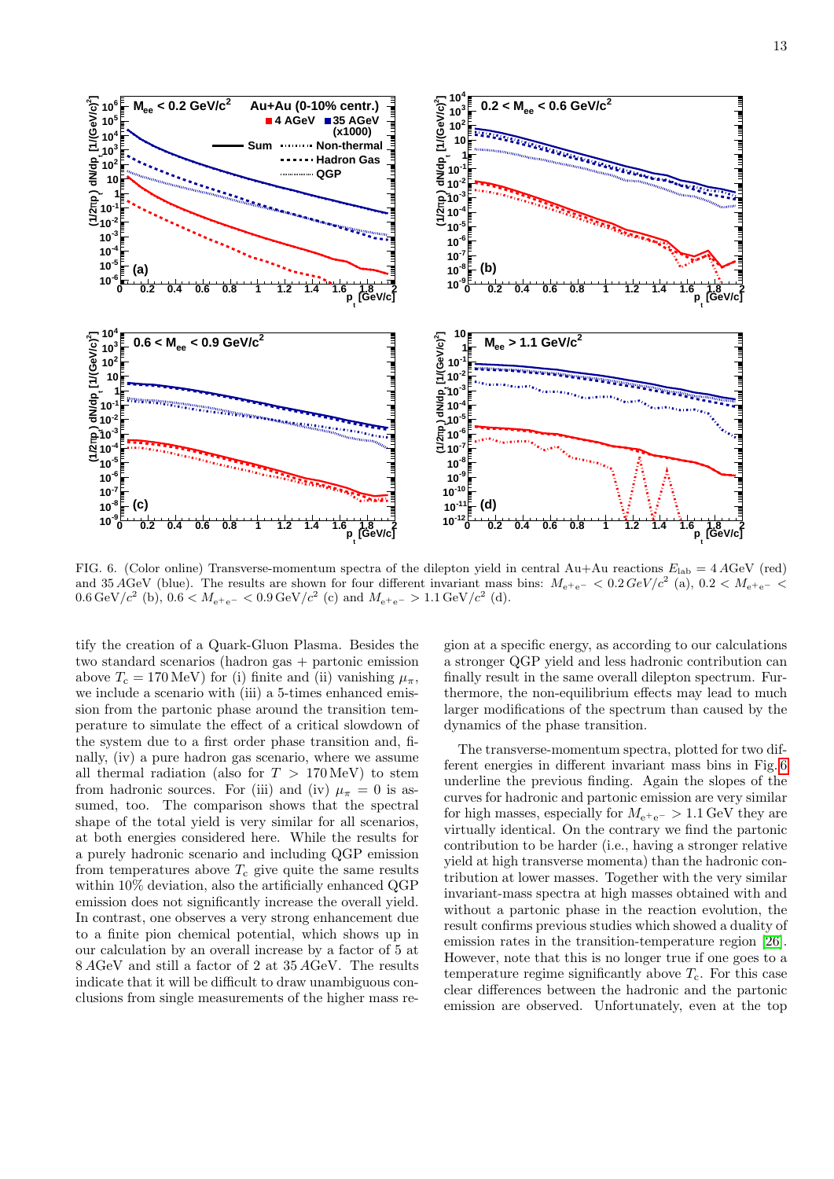

<span id="page-12-0"></span>FIG. 6. (Color online) Transverse-momentum spectra of the dilepton yield in central Au+Au reactions  $E_{\text{lab}} = 4 A$ GeV (red) and 35 AGeV (blue). The results are shown for four different invariant mass bins:  $M_{e^+e^-} < 0.2 \text{ GeV}/c^2$  (a),  $0.2 < M_{e^+e^-} <$ 0.6 GeV/ $c^2$  (b), 0.6 <  $M_{e^+e^-}$  < 0.9 GeV/ $c^2$  (c) and  $M_{e^+e^-}$  > 1.1 GeV/ $c^2$  (d).

tify the creation of a Quark-Gluon Plasma. Besides the two standard scenarios (hadron gas + partonic emission above  $T_c = 170 \text{ MeV}$  for (i) finite and (ii) vanishing  $\mu_{\pi}$ , we include a scenario with (iii) a 5-times enhanced emission from the partonic phase around the transition temperature to simulate the effect of a critical slowdown of the system due to a first order phase transition and, finally, (iv) a pure hadron gas scenario, where we assume all thermal radiation (also for  $T > 170 \,\text{MeV}$ ) to stem from hadronic sources. For (iii) and (iv)  $\mu_{\pi} = 0$  is assumed, too. The comparison shows that the spectral shape of the total yield is very similar for all scenarios, at both energies considered here. While the results for a purely hadronic scenario and including QGP emission from temperatures above  $T_c$  give quite the same results within 10% deviation, also the artificially enhanced QGP emission does not significantly increase the overall yield. In contrast, one observes a very strong enhancement due to a finite pion chemical potential, which shows up in our calculation by an overall increase by a factor of 5 at 8 AGeV and still a factor of 2 at 35 AGeV. The results indicate that it will be difficult to draw unambiguous conclusions from single measurements of the higher mass region at a specific energy, as according to our calculations a stronger QGP yield and less hadronic contribution can finally result in the same overall dilepton spectrum. Furthermore, the non-equilibrium effects may lead to much larger modifications of the spectrum than caused by the dynamics of the phase transition.

The transverse-momentum spectra, plotted for two different energies in different invariant mass bins in Fig. [6](#page-12-0) underline the previous finding. Again the slopes of the curves for hadronic and partonic emission are very similar for high masses, especially for  $M_{e^+e^-} > 1.1 \,\text{GeV}$  they are virtually identical. On the contrary we find the partonic contribution to be harder (i.e., having a stronger relative yield at high transverse momenta) than the hadronic contribution at lower masses. Together with the very similar invariant-mass spectra at high masses obtained with and without a partonic phase in the reaction evolution, the result confirms previous studies which showed a duality of emission rates in the transition-temperature region [\[26\]](#page-21-55). However, note that this is no longer true if one goes to a temperature regime significantly above  $T_c$ . For this case clear differences between the hadronic and the partonic emission are observed. Unfortunately, even at the top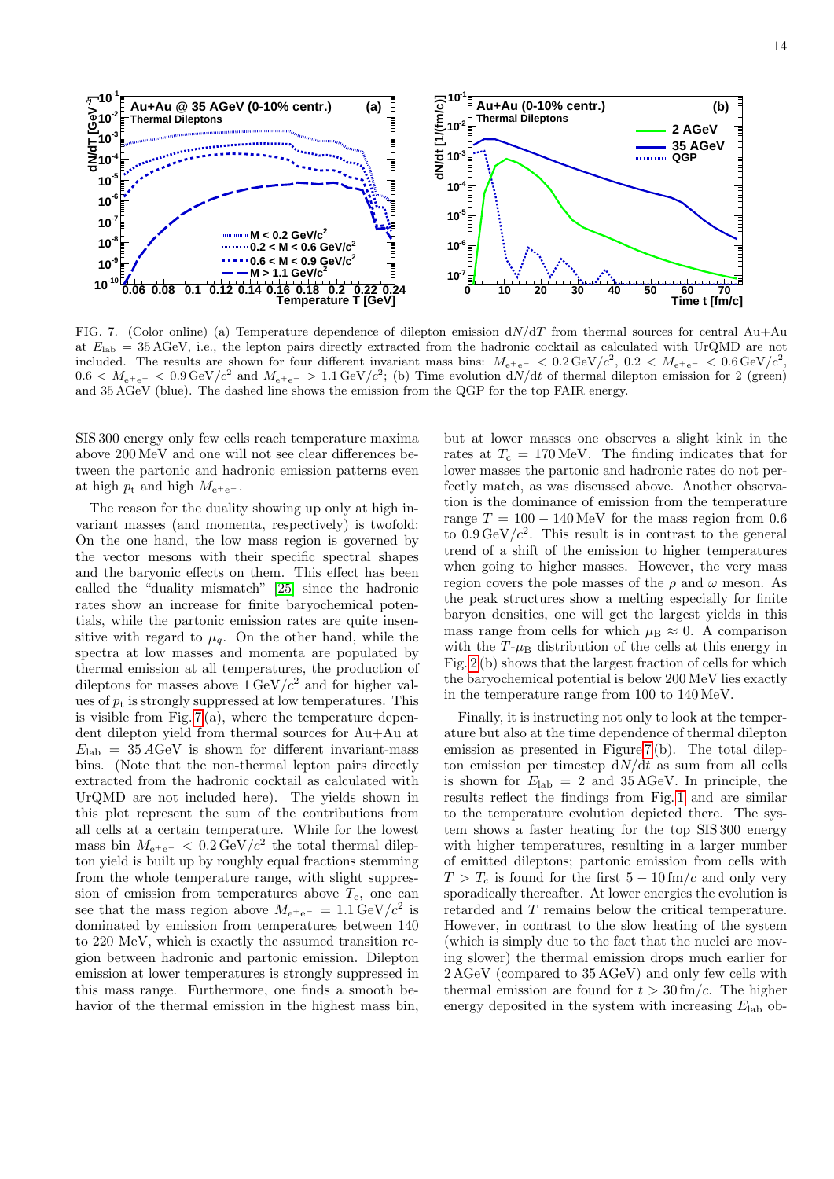

<span id="page-13-0"></span>FIG. 7. (Color online) (a) Temperature dependence of dilepton emission  $dN/dT$  from thermal sources for central Au+Au at  $E_{\rm lab} = 35 \,\text{AGeV}$ , i.e., the lepton pairs directly extracted from the hadronic cocktail as calculated with UrQMD are not included. The results are shown for four different invariant mass bins:  $M_{\rm e^+e^-}$  < 0.2 GeV/ $c^2$ , 0.2 <  $M_{\rm e^+e^-}$  < 0.6 GeV/ $c^2$ ,  $0.6 < M_{\text{e}^{\text{+}}\text{e}^-} < 0.9 \,\text{GeV}/c^2$  and  $M_{\text{e}^{\text{+}}\text{e}^-} > 1.1 \,\text{GeV}/c^2$ ; (b) Time evolution  $dN/dt$  of thermal dilepton emission for 2 (green) and 35 AGeV (blue). The dashed line shows the emission from the QGP for the top FAIR energy.

SIS 300 energy only few cells reach temperature maxima above 200 MeV and one will not see clear differences between the partonic and hadronic emission patterns even at high  $p_t$  and high  $M_{e^+e^-}$ .

The reason for the duality showing up only at high invariant masses (and momenta, respectively) is twofold: On the one hand, the low mass region is governed by the vector mesons with their specific spectral shapes and the baryonic effects on them. This effect has been called the "duality mismatch" [\[25\]](#page-21-4) since the hadronic rates show an increase for finite baryochemical potentials, while the partonic emission rates are quite insensitive with regard to  $\mu_q$ . On the other hand, while the spectra at low masses and momenta are populated by thermal emission at all temperatures, the production of dileptons for masses above  $1 \text{ GeV}/c^2$  and for higher values of  $p_t$  is strongly suppressed at low temperatures. This is visible from Fig.  $7(a)$ , where the temperature dependent dilepton yield from thermal sources for Au+Au at  $E_{\rm lab} = 35 \,\text{AGeV}$  is shown for different invariant-mass bins. (Note that the non-thermal lepton pairs directly extracted from the hadronic cocktail as calculated with UrQMD are not included here). The yields shown in this plot represent the sum of the contributions from all cells at a certain temperature. While for the lowest mass bin  $M_{e^+e^-}$  < 0.2 GeV/ $c^2$  the total thermal dilepton yield is built up by roughly equal fractions stemming from the whole temperature range, with slight suppression of emission from temperatures above  $T_c$ , one can see that the mass region above  $M_{e^+e^-} = 1.1 \,\text{GeV}/c^2$  is dominated by emission from temperatures between 140 to 220 MeV, which is exactly the assumed transition region between hadronic and partonic emission. Dilepton emission at lower temperatures is strongly suppressed in this mass range. Furthermore, one finds a smooth behavior of the thermal emission in the highest mass bin,

but at lower masses one observes a slight kink in the rates at  $T_c = 170 \,\text{MeV}$ . The finding indicates that for lower masses the partonic and hadronic rates do not perfectly match, as was discussed above. Another observation is the dominance of emission from the temperature range  $T = 100 - 140 \,\text{MeV}$  for the mass region from 0.6 to  $0.9 \,\mathrm{GeV}/c^2$ . This result is in contrast to the general trend of a shift of the emission to higher temperatures when going to higher masses. However, the very mass region covers the pole masses of the  $\rho$  and  $\omega$  meson. As the peak structures show a melting especially for finite baryon densities, one will get the largest yields in this mass range from cells for which  $\mu_B \approx 0$ . A comparison with the  $T-\mu_B$  distribution of the cells at this energy in Fig. [2](#page-9-0) (b) shows that the largest fraction of cells for which the baryochemical potential is below 200 MeV lies exactly in the temperature range from 100 to 140 MeV.

Finally, it is instructing not only to look at the temperature but also at the time dependence of thermal dilepton emission as presented in Figure [7](#page-13-0)(b). The total dilepton emission per timestep  $dN/dt$  as sum from all cells is shown for  $E_{\text{lab}} = 2$  and 35 AGeV. In principle, the results reflect the findings from Fig. [1](#page-8-0) and are similar to the temperature evolution depicted there. The system shows a faster heating for the top SIS 300 energy with higher temperatures, resulting in a larger number of emitted dileptons; partonic emission from cells with  $T > T_c$  is found for the first  $5 - 10 \text{ fm}/c$  and only very sporadically thereafter. At lower energies the evolution is retarded and T remains below the critical temperature. However, in contrast to the slow heating of the system (which is simply due to the fact that the nuclei are moving slower) the thermal emission drops much earlier for 2 AGeV (compared to 35 AGeV) and only few cells with thermal emission are found for  $t > 30$  fm/c. The higher energy deposited in the system with increasing  $E_{lab}$  ob-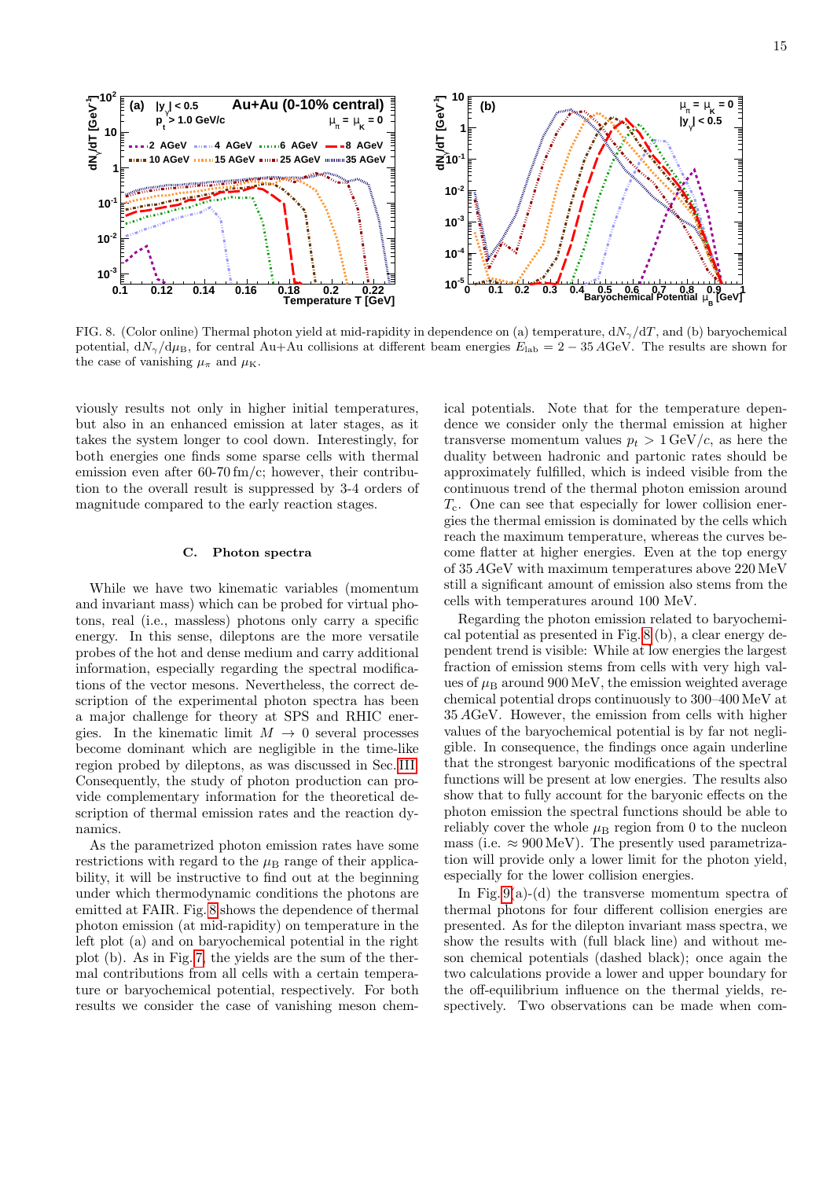

<span id="page-14-0"></span>FIG. 8. (Color online) Thermal photon yield at mid-rapidity in dependence on (a) temperature,  $dN_{\gamma}/dT$ , and (b) baryochemical potential,  $dN_{\gamma}/d\mu_B$ , for central Au+Au collisions at different beam energies  $E_{\rm lab} = 2 - 35 \,\text{AGeV}$ . The results are shown for the case of vanishing  $\mu_{\pi}$  and  $\mu_{\text{K}}$ .

viously results not only in higher initial temperatures, but also in an enhanced emission at later stages, as it takes the system longer to cool down. Interestingly, for both energies one finds some sparse cells with thermal emission even after 60-70 fm/c; however, their contribution to the overall result is suppressed by 3-4 orders of magnitude compared to the early reaction stages.

### C. Photon spectra

While we have two kinematic variables (momentum and invariant mass) which can be probed for virtual photons, real (i.e., massless) photons only carry a specific energy. In this sense, dileptons are the more versatile probes of the hot and dense medium and carry additional information, especially regarding the spectral modifications of the vector mesons. Nevertheless, the correct description of the experimental photon spectra has been a major challenge for theory at SPS and RHIC energies. In the kinematic limit  $M \to 0$  several processes become dominant which are negligible in the time-like region probed by dileptons, as was discussed in Sec. [III.](#page-4-0) Consequently, the study of photon production can provide complementary information for the theoretical description of thermal emission rates and the reaction dynamics.

As the parametrized photon emission rates have some restrictions with regard to the  $\mu$ <sub>B</sub> range of their applicability, it will be instructive to find out at the beginning under which thermodynamic conditions the photons are emitted at FAIR. Fig. [8](#page-14-0) shows the dependence of thermal photon emission (at mid-rapidity) on temperature in the left plot (a) and on baryochemical potential in the right plot (b). As in Fig. [7,](#page-13-0) the yields are the sum of the thermal contributions from all cells with a certain temperature or baryochemical potential, respectively. For both results we consider the case of vanishing meson chemical potentials. Note that for the temperature dependence we consider only the thermal emission at higher transverse momentum values  $p_t > 1 \text{ GeV}/c$ , as here the duality between hadronic and partonic rates should be approximately fulfilled, which is indeed visible from the continuous trend of the thermal photon emission around  $T_c$ . One can see that especially for lower collision energies the thermal emission is dominated by the cells which reach the maximum temperature, whereas the curves become flatter at higher energies. Even at the top energy of 35 AGeV with maximum temperatures above 220 MeV still a significant amount of emission also stems from the cells with temperatures around 100 MeV.

Regarding the photon emission related to baryochemical potential as presented in Fig. [8](#page-14-0) (b), a clear energy dependent trend is visible: While at low energies the largest fraction of emission stems from cells with very high values of  $\mu_B$  around 900 MeV, the emission weighted average chemical potential drops continuously to 300–400 MeV at 35 AGeV. However, the emission from cells with higher values of the baryochemical potential is by far not negligible. In consequence, the findings once again underline that the strongest baryonic modifications of the spectral functions will be present at low energies. The results also show that to fully account for the baryonic effects on the photon emission the spectral functions should be able to reliably cover the whole  $\mu_B$  region from 0 to the nucleon mass (i.e.  $\approx 900 \,\text{MeV}$ ). The presently used parametrization will provide only a lower limit for the photon yield, especially for the lower collision energies.

In Fig.  $9(a)-(d)$  the transverse momentum spectra of thermal photons for four different collision energies are presented. As for the dilepton invariant mass spectra, we show the results with (full black line) and without meson chemical potentials (dashed black); once again the two calculations provide a lower and upper boundary for the off-equilibrium influence on the thermal yields, respectively. Two observations can be made when com-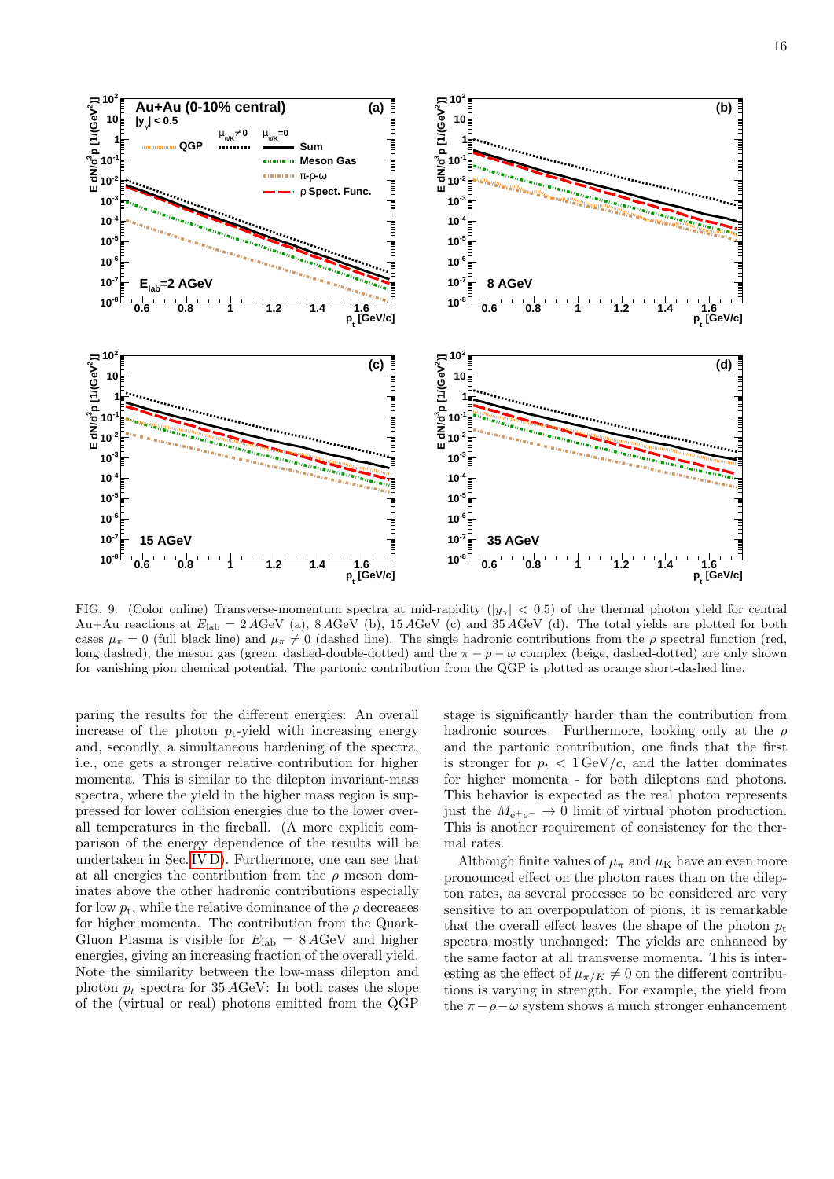

<span id="page-15-0"></span>FIG. 9. (Color online) Transverse-momentum spectra at mid-rapidity ( $|y_{\gamma}| < 0.5$ ) of the thermal photon yield for central Au+Au reactions at  $E_{\text{lab}} = 2 A \text{GeV}$  (a),  $8 A \text{GeV}$  (b),  $15 A \text{GeV}$  (c) and  $35 A \text{GeV}$  (d). The total yields are plotted for both cases  $\mu_{\pi} = 0$  (full black line) and  $\mu_{\pi} \neq 0$  (dashed line). The single hadronic contributions from the  $\rho$  spectral function (red, long dashed), the meson gas (green, dashed-double-dotted) and the  $\pi - \rho - \omega$  complex (beige, dashed-dotted) are only shown for vanishing pion chemical potential. The partonic contribution from the QGP is plotted as orange short-dashed line.

paring the results for the different energies: An overall increase of the photon  $p_t$ -yield with increasing energy and, secondly, a simultaneous hardening of the spectra, i.e., one gets a stronger relative contribution for higher momenta. This is similar to the dilepton invariant-mass spectra, where the yield in the higher mass region is suppressed for lower collision energies due to the lower overall temperatures in the fireball. (A more explicit comparison of the energy dependence of the results will be undertaken in Sec. [IV D\)](#page-16-0). Furthermore, one can see that at all energies the contribution from the  $\rho$  meson dominates above the other hadronic contributions especially for low  $p_t$ , while the relative dominance of the  $\rho$  decreases for higher momenta. The contribution from the Quark-Gluon Plasma is visible for  $E_{\text{lab}} = 8 A \text{GeV}$  and higher energies, giving an increasing fraction of the overall yield. Note the similarity between the low-mass dilepton and photon  $p_t$  spectra for 35 AGeV: In both cases the slope of the (virtual or real) photons emitted from the QGP

stage is significantly harder than the contribution from hadronic sources. Furthermore, looking only at the  $\rho$ and the partonic contribution, one finds that the first is stronger for  $p_t < 1 \,\text{GeV}/c$ , and the latter dominates for higher momenta - for both dileptons and photons. This behavior is expected as the real photon represents just the  $M_{e^+e^-} \rightarrow 0$  limit of virtual photon production. This is another requirement of consistency for the thermal rates.

Although finite values of  $\mu_{\pi}$  and  $\mu_{\rm K}$  have an even more pronounced effect on the photon rates than on the dilepton rates, as several processes to be considered are very sensitive to an overpopulation of pions, it is remarkable that the overall effect leaves the shape of the photon  $p_t$ spectra mostly unchanged: The yields are enhanced by the same factor at all transverse momenta. This is interesting as the effect of  $\mu_{\pi/K} \neq 0$  on the different contributions is varying in strength. For example, the yield from the  $\pi - \rho - \omega$  system shows a much stronger enhancement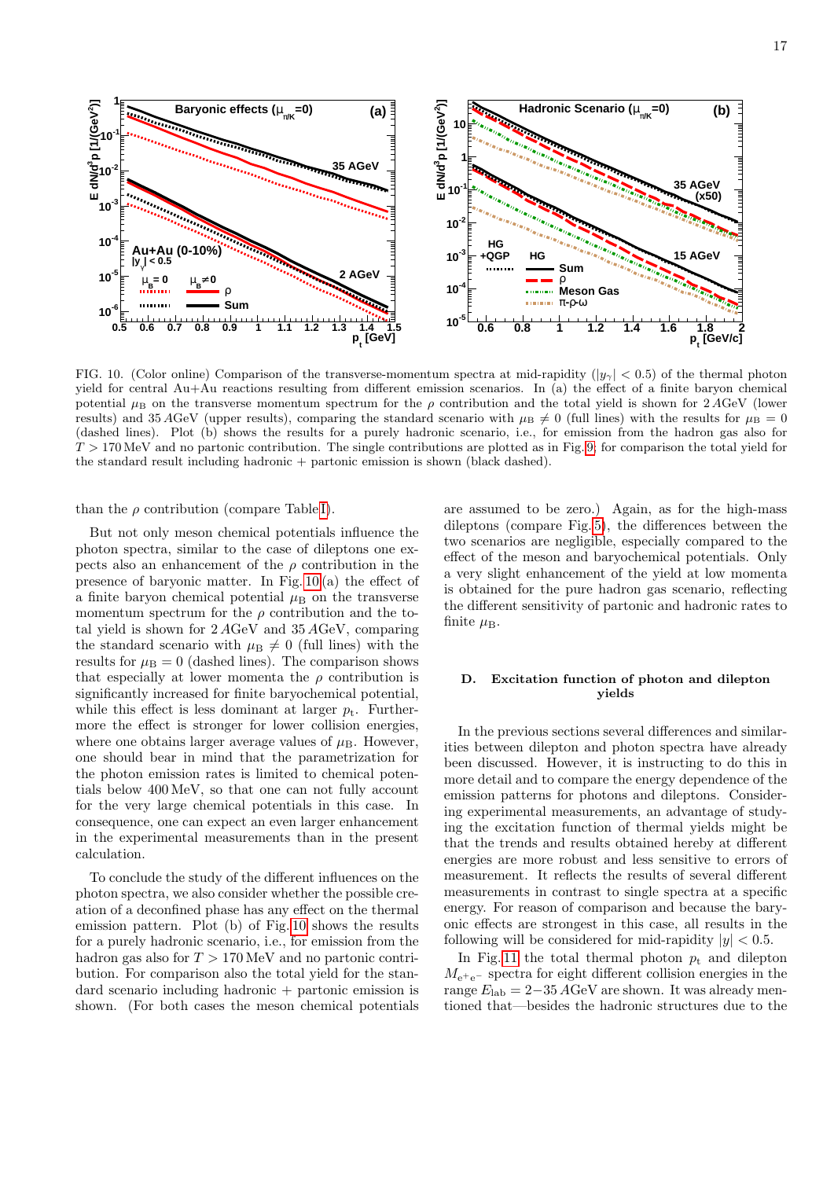

<span id="page-16-1"></span>FIG. 10. (Color online) Comparison of the transverse-momentum spectra at mid-rapidity ( $|y_{\gamma}| < 0.5$ ) of the thermal photon yield for central Au+Au reactions resulting from different emission scenarios. In (a) the effect of a finite baryon chemical potential  $\mu_B$  on the transverse momentum spectrum for the  $\rho$  contribution and the total yield is shown for 2 AGeV (lower results) and 35 AGeV (upper results), comparing the standard scenario with  $\mu_B \neq 0$  (full lines) with the results for  $\mu_B = 0$ (dashed lines). Plot (b) shows the results for a purely hadronic scenario, i.e., for emission from the hadron gas also for  $T > 170$  MeV and no partonic contribution. The single contributions are plotted as in Fig. [9;](#page-15-0) for comparison the total yield for the standard result including hadronic + partonic emission is shown (black dashed).

than the  $\rho$  contribution (compare Table [I\)](#page-6-0).

But not only meson chemical potentials influence the photon spectra, similar to the case of dileptons one expects also an enhancement of the  $\rho$  contribution in the presence of baryonic matter. In Fig. [10](#page-16-1) (a) the effect of a finite baryon chemical potential  $\mu_B$  on the transverse momentum spectrum for the  $\rho$  contribution and the total yield is shown for 2 AGeV and 35 AGeV, comparing the standard scenario with  $\mu_{\text{B}}\neq 0$  (full lines) with the results for  $\mu_B = 0$  (dashed lines). The comparison shows that especially at lower momenta the  $\rho$  contribution is significantly increased for finite baryochemical potential, while this effect is less dominant at larger  $p_t$ . Furthermore the effect is stronger for lower collision energies, where one obtains larger average values of  $\mu_B$ . However, one should bear in mind that the parametrization for the photon emission rates is limited to chemical potentials below 400 MeV, so that one can not fully account for the very large chemical potentials in this case. In consequence, one can expect an even larger enhancement in the experimental measurements than in the present calculation.

To conclude the study of the different influences on the photon spectra, we also consider whether the possible creation of a deconfined phase has any effect on the thermal emission pattern. Plot (b) of Fig. [10](#page-16-1) shows the results for a purely hadronic scenario, i.e., for emission from the hadron gas also for  $T > 170 \,\text{MeV}$  and no partonic contribution. For comparison also the total yield for the stan $d$ ard scenario including hadronic + partonic emission is shown. (For both cases the meson chemical potentials are assumed to be zero.) Again, as for the high-mass dileptons (compare Fig. [5\)](#page-11-0), the differences between the two scenarios are negligible, especially compared to the effect of the meson and baryochemical potentials. Only a very slight enhancement of the yield at low momenta is obtained for the pure hadron gas scenario, reflecting the different sensitivity of partonic and hadronic rates to finite  $\mu_{\rm B}$ .

# <span id="page-16-0"></span>D. Excitation function of photon and dilepton yields

In the previous sections several differences and similarities between dilepton and photon spectra have already been discussed. However, it is instructing to do this in more detail and to compare the energy dependence of the emission patterns for photons and dileptons. Considering experimental measurements, an advantage of studying the excitation function of thermal yields might be that the trends and results obtained hereby at different energies are more robust and less sensitive to errors of measurement. It reflects the results of several different measurements in contrast to single spectra at a specific energy. For reason of comparison and because the baryonic effects are strongest in this case, all results in the following will be considered for mid-rapidity  $|y| < 0.5$ .

In Fig. [11](#page-17-0) the total thermal photon  $p_t$  and dilepton  $M_{\text{e}^+\text{e}^-}$  spectra for eight different collision energies in the range  $E_{\rm lab} = 2-35 \,\text{AGeV}$  are shown. It was already mentioned that—besides the hadronic structures due to the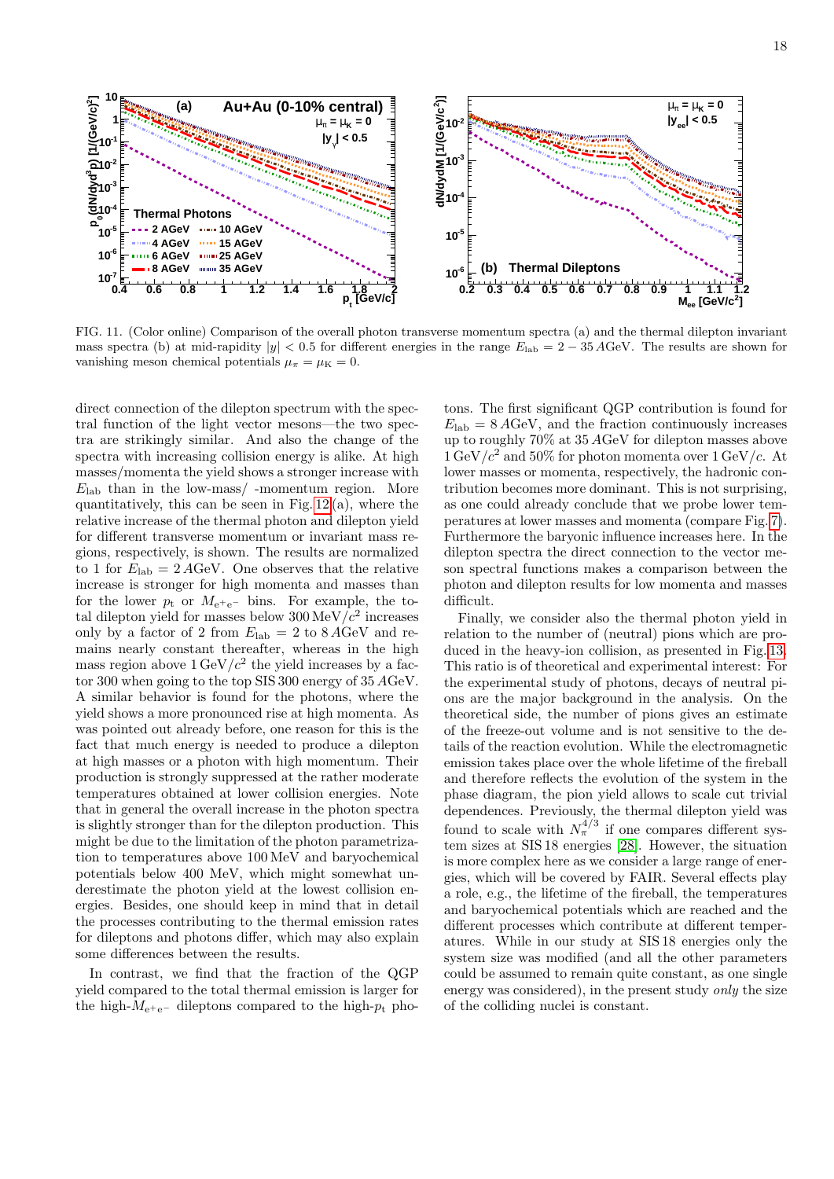

<span id="page-17-0"></span>FIG. 11. (Color online) Comparison of the overall photon transverse momentum spectra (a) and the thermal dilepton invariant mass spectra (b) at mid-rapidity  $|y| < 0.5$  for different energies in the range  $E_{\text{lab}} = 2 - 35 \text{ AGeV}$ . The results are shown for vanishing meson chemical potentials  $\mu_{\pi} = \mu_K = 0$ .

direct connection of the dilepton spectrum with the spectral function of the light vector mesons—the two spectra are strikingly similar. And also the change of the spectra with increasing collision energy is alike. At high masses/momenta the yield shows a stronger increase with  $E_{\rm lab}$  than in the low-mass/-momentum region. More quantitatively, this can be seen in Fig.  $12(a)$ , where the relative increase of the thermal photon and dilepton yield for different transverse momentum or invariant mass regions, respectively, is shown. The results are normalized to 1 for  $E_{\rm lab} = 2 A GeV$ . One observes that the relative increase is stronger for high momenta and masses than for the lower  $p_t$  or  $M_{e^+e^-}$  bins. For example, the total dilepton yield for masses below  $300 \,\mathrm{MeV}/c^2$  increases only by a factor of 2 from  $E_{\text{lab}} = 2$  to  $8 \text{ AGeV}$  and remains nearly constant thereafter, whereas in the high mass region above  $1 \,\text{GeV}/c^2$  the yield increases by a factor 300 when going to the top SIS 300 energy of 35 AGeV. A similar behavior is found for the photons, where the yield shows a more pronounced rise at high momenta. As was pointed out already before, one reason for this is the fact that much energy is needed to produce a dilepton at high masses or a photon with high momentum. Their production is strongly suppressed at the rather moderate temperatures obtained at lower collision energies. Note that in general the overall increase in the photon spectra is slightly stronger than for the dilepton production. This might be due to the limitation of the photon parametrization to temperatures above 100 MeV and baryochemical potentials below 400 MeV, which might somewhat underestimate the photon yield at the lowest collision energies. Besides, one should keep in mind that in detail the processes contributing to the thermal emission rates for dileptons and photons differ, which may also explain some differences between the results.

In contrast, we find that the fraction of the QGP yield compared to the total thermal emission is larger for the high- $M_{e^+e^-}$  dileptons compared to the high- $p_t$  photons. The first significant QGP contribution is found for  $E_{\rm lab} = 8 A GeV$ , and the fraction continuously increases up to roughly 70% at 35 AGeV for dilepton masses above  $1 \,\mathrm{GeV}/c^2$  and  $50\%$  for photon momenta over  $1 \,\mathrm{GeV}/c$ . At lower masses or momenta, respectively, the hadronic contribution becomes more dominant. This is not surprising, as one could already conclude that we probe lower temperatures at lower masses and momenta (compare Fig. [7\)](#page-13-0). Furthermore the baryonic influence increases here. In the dilepton spectra the direct connection to the vector meson spectral functions makes a comparison between the photon and dilepton results for low momenta and masses difficult.

Finally, we consider also the thermal photon yield in relation to the number of (neutral) pions which are produced in the heavy-ion collision, as presented in Fig. [13.](#page-19-1) This ratio is of theoretical and experimental interest: For the experimental study of photons, decays of neutral pions are the major background in the analysis. On the theoretical side, the number of pions gives an estimate of the freeze-out volume and is not sensitive to the details of the reaction evolution. While the electromagnetic emission takes place over the whole lifetime of the fireball and therefore reflects the evolution of the system in the phase diagram, the pion yield allows to scale cut trivial dependences. Previously, the thermal dilepton yield was found to scale with  $N_{\pi}^{4/3}$  if one compares different system sizes at SIS 18 energies [\[28\]](#page-21-5). However, the situation is more complex here as we consider a large range of energies, which will be covered by FAIR. Several effects play a role, e.g., the lifetime of the fireball, the temperatures and baryochemical potentials which are reached and the different processes which contribute at different temperatures. While in our study at SIS 18 energies only the system size was modified (and all the other parameters could be assumed to remain quite constant, as one single energy was considered), in the present study *only* the size of the colliding nuclei is constant.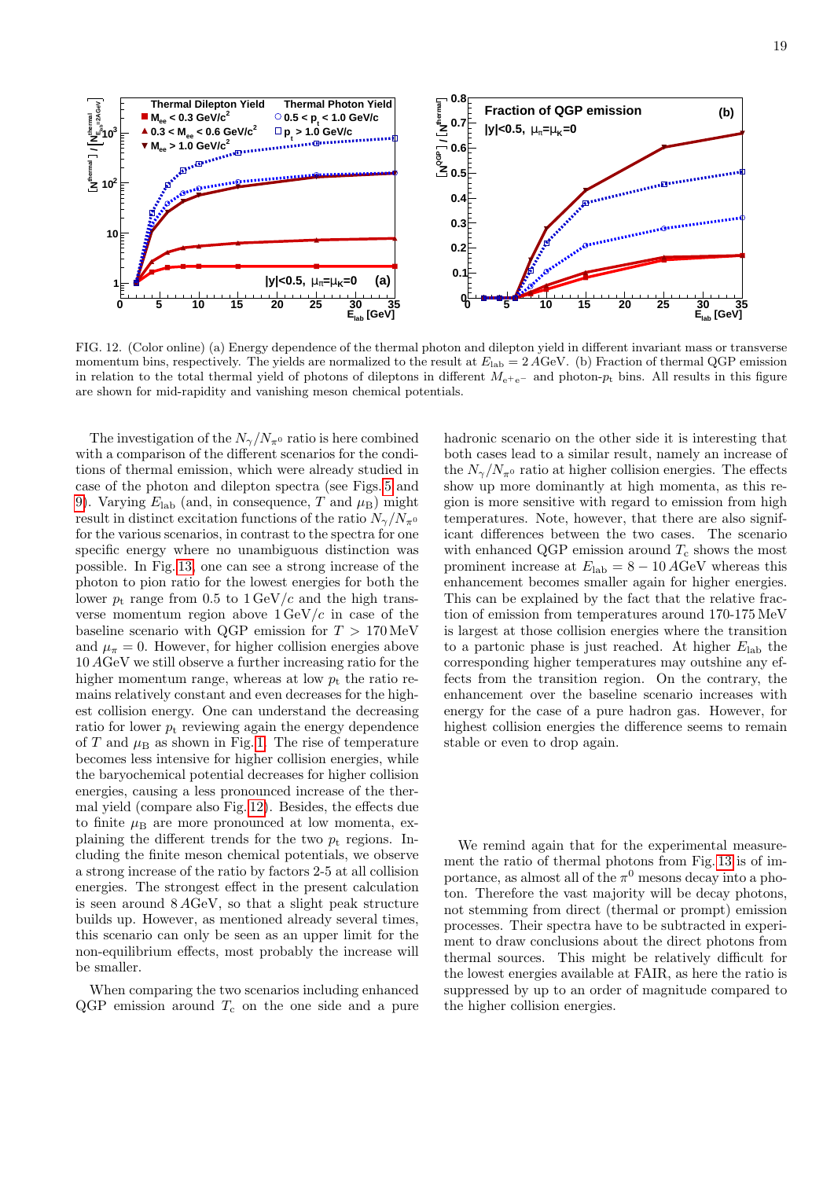

<span id="page-18-0"></span>FIG. 12. (Color online) (a) Energy dependence of the thermal photon and dilepton yield in different invariant mass or transverse momentum bins, respectively. The yields are normalized to the result at  $E_{\text{lab}} = 2 A \text{GeV}$ . (b) Fraction of thermal QGP emission in relation to the total thermal yield of photons of dileptons in different  $M_{e^+e^-}$  and photon- $p_t$  bins. All results in this figure are shown for mid-rapidity and vanishing meson chemical potentials.

The investigation of the  $N_{\gamma}/N_{\pi^0}$  ratio is here combined with a comparison of the different scenarios for the conditions of thermal emission, which were already studied in case of the photon and dilepton spectra (see Figs. [5](#page-11-0) and [9\)](#page-15-0). Varying  $E_{\text{lab}}$  (and, in consequence, T and  $\mu_{\text{B}}$ ) might result in distinct excitation functions of the ratio  $N_{\gamma}/N_{\pi^0}$ for the various scenarios, in contrast to the spectra for one specific energy where no unambiguous distinction was possible. In Fig. [13,](#page-19-1) one can see a strong increase of the photon to pion ratio for the lowest energies for both the lower  $p_t$  range from 0.5 to  $1 \text{ GeV}/c$  and the high transverse momentum region above  $1 \text{ GeV}/c$  in case of the baseline scenario with QGP emission for  $T > 170 \,\text{MeV}$ and  $\mu_{\pi} = 0$ . However, for higher collision energies above 10 AGeV we still observe a further increasing ratio for the higher momentum range, whereas at low  $p_t$  the ratio remains relatively constant and even decreases for the highest collision energy. One can understand the decreasing ratio for lower  $p_t$  reviewing again the energy dependence of T and  $\mu_B$  as shown in Fig. [1.](#page-8-0) The rise of temperature becomes less intensive for higher collision energies, while the baryochemical potential decreases for higher collision energies, causing a less pronounced increase of the thermal yield (compare also Fig. [12\)](#page-18-0). Besides, the effects due to finite  $\mu_B$  are more pronounced at low momenta, explaining the different trends for the two  $p_t$  regions. Including the finite meson chemical potentials, we observe a strong increase of the ratio by factors 2-5 at all collision energies. The strongest effect in the present calculation is seen around 8 AGeV, so that a slight peak structure builds up. However, as mentioned already several times, this scenario can only be seen as an upper limit for the non-equilibrium effects, most probably the increase will be smaller.

When comparing the two scenarios including enhanced  $QGP$  emission around  $T_c$  on the one side and a pure hadronic scenario on the other side it is interesting that both cases lead to a similar result, namely an increase of the  $N_{\gamma}/N_{\pi^0}$  ratio at higher collision energies. The effects show up more dominantly at high momenta, as this region is more sensitive with regard to emission from high temperatures. Note, however, that there are also significant differences between the two cases. The scenario with enhanced QGP emission around  $T_c$  shows the most prominent increase at  $E_{\rm lab} = 8 - 10 \,\text{AGeV}$  whereas this enhancement becomes smaller again for higher energies. This can be explained by the fact that the relative fraction of emission from temperatures around 170-175 MeV is largest at those collision energies where the transition to a partonic phase is just reached. At higher  $E_{\text{lab}}$  the corresponding higher temperatures may outshine any effects from the transition region. On the contrary, the enhancement over the baseline scenario increases with energy for the case of a pure hadron gas. However, for highest collision energies the difference seems to remain stable or even to drop again.

We remind again that for the experimental measurement the ratio of thermal photons from Fig. [13](#page-19-1) is of importance, as almost all of the  $\pi^0$  mesons decay into a photon. Therefore the vast majority will be decay photons, not stemming from direct (thermal or prompt) emission processes. Their spectra have to be subtracted in experiment to draw conclusions about the direct photons from thermal sources. This might be relatively difficult for the lowest energies available at FAIR, as here the ratio is suppressed by up to an order of magnitude compared to the higher collision energies.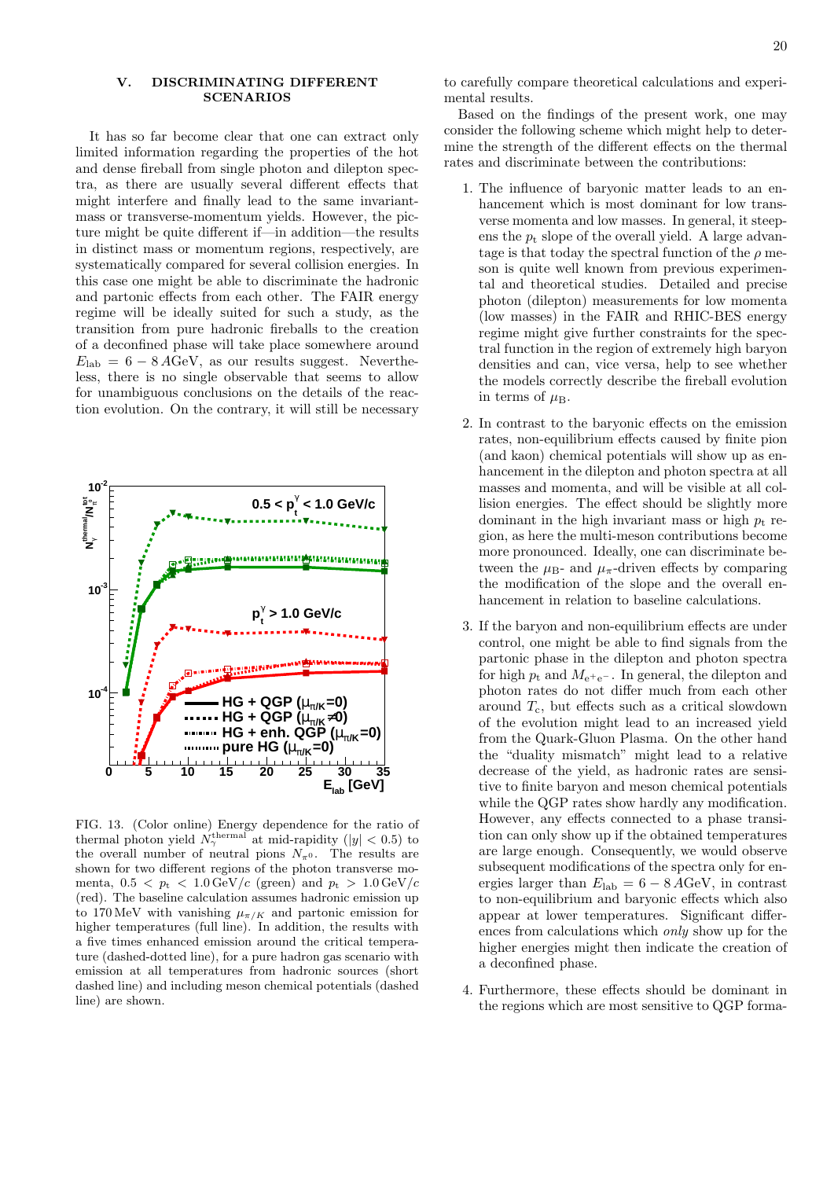## <span id="page-19-0"></span>V. DISCRIMINATING DIFFERENT SCENARIOS

It has so far become clear that one can extract only limited information regarding the properties of the hot and dense fireball from single photon and dilepton spectra, as there are usually several different effects that might interfere and finally lead to the same invariantmass or transverse-momentum yields. However, the picture might be quite different if—in addition—the results in distinct mass or momentum regions, respectively, are systematically compared for several collision energies. In this case one might be able to discriminate the hadronic and partonic effects from each other. The FAIR energy regime will be ideally suited for such a study, as the transition from pure hadronic fireballs to the creation of a deconfined phase will take place somewhere around  $E_{\rm lab} = 6 - 8 A GeV$ , as our results suggest. Nevertheless, there is no single observable that seems to allow for unambiguous conclusions on the details of the reaction evolution. On the contrary, it will still be necessary



<span id="page-19-1"></span>FIG. 13. (Color online) Energy dependence for the ratio of thermal photon yield  $N_{\gamma}^{\text{thermal}}$  at mid-rapidity (|y| < 0.5) to the overall number of neutral pions  $N_{\pi^0}$ . The results are shown for two different regions of the photon transverse momenta,  $0.5 < p_t < 1.0 \,\text{GeV}/c$  (green) and  $p_t > 1.0 \,\text{GeV}/c$ (red). The baseline calculation assumes hadronic emission up to 170 MeV with vanishing  $\mu_{\pi/K}$  and partonic emission for higher temperatures (full line). In addition, the results with a five times enhanced emission around the critical temperature (dashed-dotted line), for a pure hadron gas scenario with emission at all temperatures from hadronic sources (short dashed line) and including meson chemical potentials (dashed line) are shown.

to carefully compare theoretical calculations and experimental results.

Based on the findings of the present work, one may consider the following scheme which might help to determine the strength of the different effects on the thermal rates and discriminate between the contributions:

- 1. The influence of baryonic matter leads to an enhancement which is most dominant for low transverse momenta and low masses. In general, it steepens the  $p_t$  slope of the overall yield. A large advantage is that today the spectral function of the  $\rho$  meson is quite well known from previous experimental and theoretical studies. Detailed and precise photon (dilepton) measurements for low momenta (low masses) in the FAIR and RHIC-BES energy regime might give further constraints for the spectral function in the region of extremely high baryon densities and can, vice versa, help to see whether the models correctly describe the fireball evolution in terms of  $\mu_{\rm B}$ .
- 2. In contrast to the baryonic effects on the emission rates, non-equilibrium effects caused by finite pion (and kaon) chemical potentials will show up as enhancement in the dilepton and photon spectra at all masses and momenta, and will be visible at all collision energies. The effect should be slightly more dominant in the high invariant mass or high  $p_t$  region, as here the multi-meson contributions become more pronounced. Ideally, one can discriminate between the  $\mu_{\rm B}$ - and  $\mu_{\pi}$ -driven effects by comparing the modification of the slope and the overall enhancement in relation to baseline calculations.
- 3. If the baryon and non-equilibrium effects are under control, one might be able to find signals from the partonic phase in the dilepton and photon spectra for high  $p_t$  and  $M_{e^+e^-}$ . In general, the dilepton and photon rates do not differ much from each other around  $T_c$ , but effects such as a critical slowdown of the evolution might lead to an increased yield from the Quark-Gluon Plasma. On the other hand the "duality mismatch" might lead to a relative decrease of the yield, as hadronic rates are sensitive to finite baryon and meson chemical potentials while the QGP rates show hardly any modification. However, any effects connected to a phase transition can only show up if the obtained temperatures are large enough. Consequently, we would observe subsequent modifications of the spectra only for energies larger than  $E_{\rm lab} = 6 - 8 A GeV$ , in contrast to non-equilibrium and baryonic effects which also appear at lower temperatures. Significant differences from calculations which *only* show up for the higher energies might then indicate the creation of a deconfined phase.
- 4. Furthermore, these effects should be dominant in the regions which are most sensitive to QGP forma-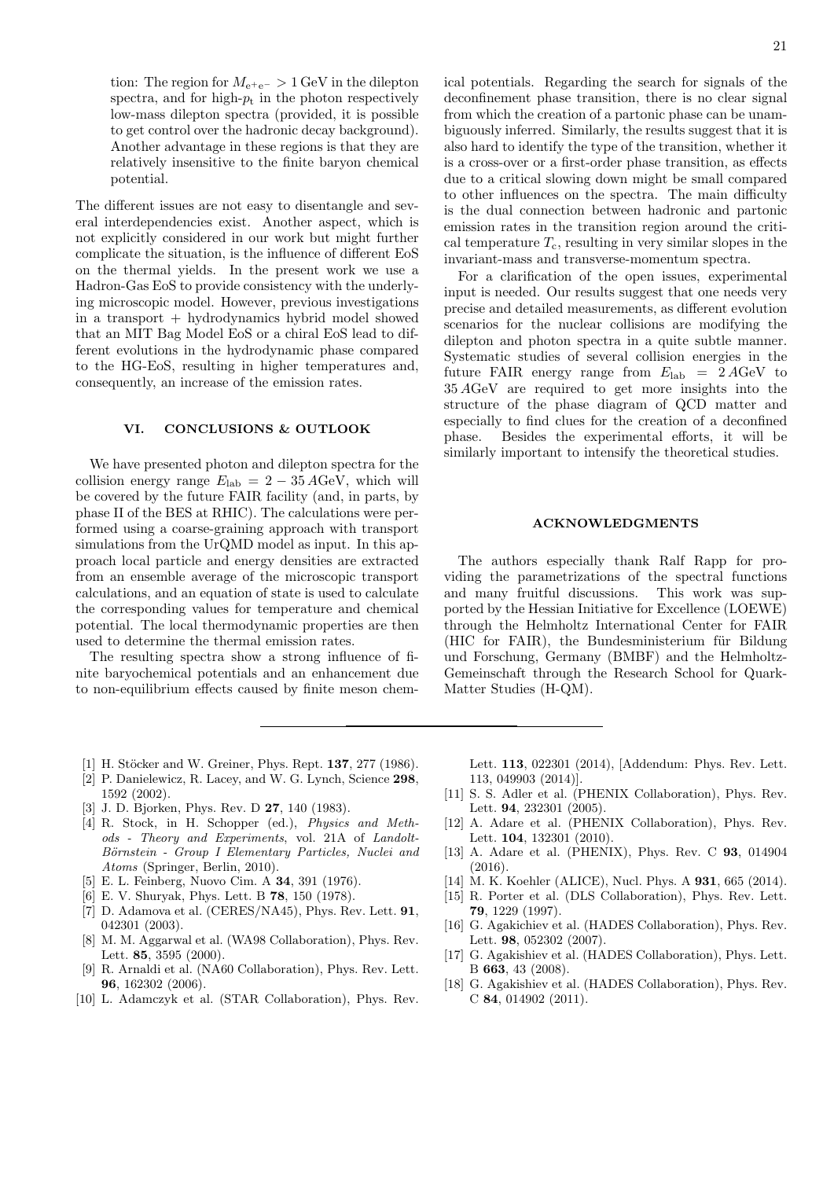tion: The region for  $M_{e^+e^-} > 1$  GeV in the dilepton spectra, and for high- $p_t$  in the photon respectively low-mass dilepton spectra (provided, it is possible to get control over the hadronic decay background). Another advantage in these regions is that they are relatively insensitive to the finite baryon chemical potential.

The different issues are not easy to disentangle and several interdependencies exist. Another aspect, which is not explicitly considered in our work but might further complicate the situation, is the influence of different EoS on the thermal yields. In the present work we use a Hadron-Gas EoS to provide consistency with the underlying microscopic model. However, previous investigations in a transport + hydrodynamics hybrid model showed that an MIT Bag Model EoS or a chiral EoS lead to different evolutions in the hydrodynamic phase compared to the HG-EoS, resulting in higher temperatures and, consequently, an increase of the emission rates.

# VI. CONCLUSIONS & OUTLOOK

We have presented photon and dilepton spectra for the collision energy range  $E_{\text{lab}} = 2 - 35 \text{ AGeV}$ , which will be covered by the future FAIR facility (and, in parts, by phase II of the BES at RHIC). The calculations were performed using a coarse-graining approach with transport simulations from the UrQMD model as input. In this approach local particle and energy densities are extracted from an ensemble average of the microscopic transport calculations, and an equation of state is used to calculate the corresponding values for temperature and chemical potential. The local thermodynamic properties are then used to determine the thermal emission rates.

The resulting spectra show a strong influence of finite baryochemical potentials and an enhancement due to non-equilibrium effects caused by finite meson chemical potentials. Regarding the search for signals of the deconfinement phase transition, there is no clear signal from which the creation of a partonic phase can be unambiguously inferred. Similarly, the results suggest that it is also hard to identify the type of the transition, whether it is a cross-over or a first-order phase transition, as effects due to a critical slowing down might be small compared to other influences on the spectra. The main difficulty is the dual connection between hadronic and partonic emission rates in the transition region around the critical temperature  $T_c$ , resulting in very similar slopes in the invariant-mass and transverse-momentum spectra.

For a clarification of the open issues, experimental input is needed. Our results suggest that one needs very precise and detailed measurements, as different evolution scenarios for the nuclear collisions are modifying the dilepton and photon spectra in a quite subtle manner. Systematic studies of several collision energies in the future FAIR energy range from  $E_{\rm lab} = 2 A GeV$  to 35 AGeV are required to get more insights into the structure of the phase diagram of QCD matter and especially to find clues for the creation of a deconfined phase. Besides the experimental efforts, it will be similarly important to intensify the theoretical studies.

#### ACKNOWLEDGMENTS

The authors especially thank Ralf Rapp for providing the parametrizations of the spectral functions and many fruitful discussions. This work was supported by the Hessian Initiative for Excellence (LOEWE) through the Helmholtz International Center for FAIR  $(HIC)$  for FAIR), the Bundesministerium für Bildung und Forschung, Germany (BMBF) and the Helmholtz-Gemeinschaft through the Research School for Quark-Matter Studies (H-QM).

- <span id="page-20-0"></span>[1] H. Stöcker and W. Greiner, Phys. Rept. 137, 277 (1986).
- <span id="page-20-1"></span>[2] P. Danielewicz, R. Lacey, and W. G. Lynch, Science 298, 1592 (2002).
- <span id="page-20-2"></span>[3] J. D. Bjorken, Phys. Rev. D **27**, 140 (1983).
- <span id="page-20-3"></span>[4] R. Stock, in H. Schopper (ed.), Physics and Methods - Theory and Experiments, vol. 21A of Landolt-Börnstein - Group I Elementary Particles, Nuclei and Atoms (Springer, Berlin, 2010).
- <span id="page-20-4"></span>[5] E. L. Feinberg, Nuovo Cim. A 34, 391 (1976).
- <span id="page-20-5"></span>[6] E. V. Shuryak, Phys. Lett. B 78, 150 (1978).
- <span id="page-20-6"></span>[7] D. Adamova et al. (CERES/NA45), Phys. Rev. Lett.  $91$ , 042301 (2003).
- [8] M. M. Aggarwal et al. (WA98 Collaboration), Phys. Rev. Lett. 85, 3595 (2000).
- <span id="page-20-7"></span>[9] R. Arnaldi et al. (NA60 Collaboration), Phys. Rev. Lett. 96, 162302 (2006).
- <span id="page-20-8"></span>[10] L. Adamczyk et al. (STAR Collaboration), Phys. Rev.

Lett. 113, 022301 (2014), [Addendum: Phys. Rev. Lett. 113, 049903 (2014)].

- [11] S. S. Adler et al. (PHENIX Collaboration), Phys. Rev. Lett. **94**, 232301 (2005).
- [12] A. Adare et al. (PHENIX Collaboration), Phys. Rev. Lett. 104, 132301 (2010).
- <span id="page-20-9"></span>[13] A. Adare et al. (PHENIX), Phys. Rev. C **93**, 014904 (2016).
- <span id="page-20-10"></span>[14] M. K. Koehler (ALICE), Nucl. Phys. A **931**, 665 (2014).
- <span id="page-20-11"></span>[15] R. Porter et al. (DLS Collaboration), Phys. Rev. Lett.
- 79, 1229 (1997). [16] G. Agakichiev et al. (HADES Collaboration), Phys. Rev. Lett. 98, 052302 (2007).
- [17] G. Agakishiev et al. (HADES Collaboration), Phys. Lett. B 663, 43 (2008).
- <span id="page-20-12"></span>[18] G. Agakishiev et al. (HADES Collaboration), Phys. Rev. C 84, 014902 (2011).